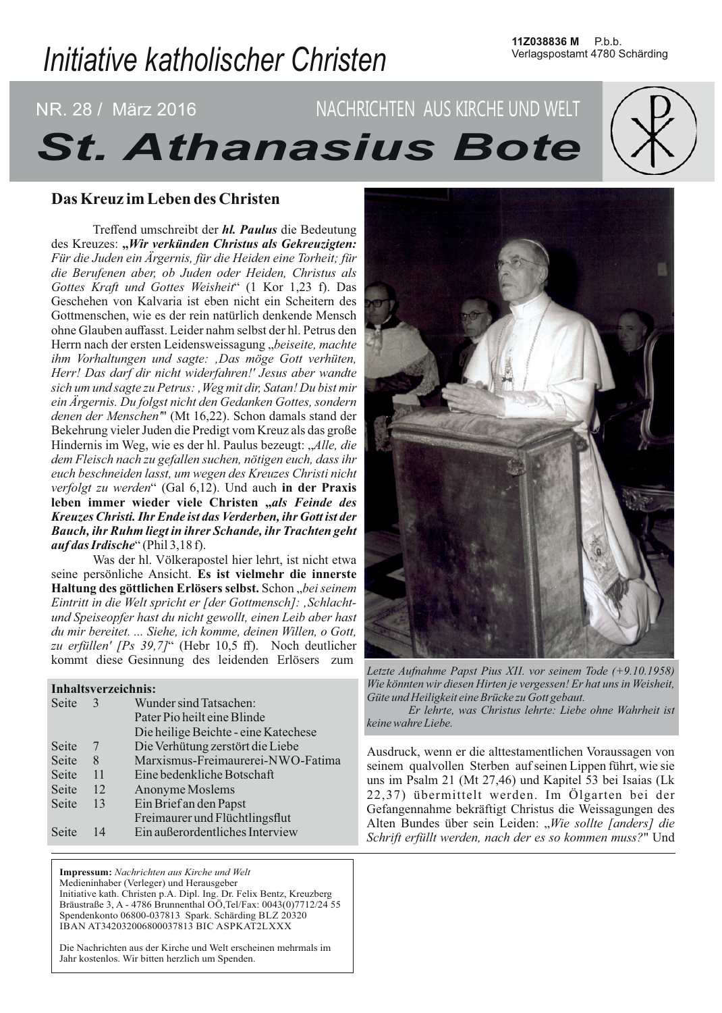# Initiative katholischer Christen

## NACHRICHTEN AUS KIRCHE UND WELT <u>NR.</u> 28 / März 2016 **St. Athanasius Bote**

## Das Kreuz im Leben des Christen

Treffend umschreibt der *hl. Paulus* die Bedeutung des Kreuzes: "Wir verkünden Christus als Gekreuzigten: Für die Juden ein Ärgernis, für die Heiden eine Torheit; für die Berufenen aber, ob Juden oder Heiden, Christus als Gottes Kraft und Gottes Weisheit" (1 Kor 1,23 f). Das Geschehen von Kalvaria ist eben nicht ein Scheitern des Gottmenschen, wie es der rein natürlich denkende Mensch ohne Glauben auffasst. Leider nahm selbst der hl. Petrus den Herrn nach der ersten Leidensweissagung "beiseite, machte ihm Vorhaltungen und sagte: "Das möge Gott verhüten, Herr! Das darf dir nicht widerfahren!' Jesus aber wandte sich um und sagte zu Petrus: , Weg mit dir, Satan! Du bist mir ein Ärgernis. Du folgst nicht den Gedanken Gottes, sondern denen der Menschen" (Mt 16,22). Schon damals stand der Bekehrung vieler Juden die Predigt vom Kreuz als das große Hindernis im Weg, wie es der hl. Paulus bezeugt: "Alle, die dem Fleisch nach zu gefallen suchen, nötigen euch, dass ihr euch beschneiden lasst, um wegen des Kreuzes Christi nicht verfolgt zu werden" (Gal 6,12). Und auch in der Praxis leben immer wieder viele Christen "als Feinde des Kreuzes Christi. Ihr Ende ist das Verderben, ihr Gott ist der Bauch, ihr Ruhm liegt in ihrer Schande, ihr Trachten geht *auf das Irdische"* (Phil 3,18f).

Was der hl. Völkerapostel hier lehrt, ist nicht etwa seine persönliche Ansicht. Es ist vielmehr die innerste Haltung des göttlichen Erlösers selbst. Schon "bei seinem Eintritt in die Welt spricht er [der Gottmensch]: 'Schlachtund Speiseopfer hast du nicht gewollt, einen Leib aber hast du mir bereitet. ... Siehe, ich komme, deinen Willen, o Gott, zu erfüllen' [Ps 39,7]" (Hebr 10,5 ff). Noch deutlicher kommt diese Gesinnung des leidenden Erlösers zum

## Inhaltsverzeichnis:

| $\mathcal{F}$ | Wunder sind Tatsachen:               |
|---------------|--------------------------------------|
|               | Pater Pio heilt eine Blinde          |
|               | Die heilige Beichte - eine Katechese |
|               | Die Verhütung zerstört die Liebe     |
| 8             | Marxismus-Freimaurerei-NWO-Fatima    |
| 11            | Eine bedenkliche Botschaft           |
| 12            | Anonyme Moslems                      |
| 13            | Ein Brief an den Papst               |
|               | Freimaurer und Flüchtlingsflut       |
| 14            | Ein außerordentliches Interview      |
|               |                                      |

Impressum: Nachrichten aus Kirche und Welt Medieninhaber (Verleger) und Herausgeber Initiative kath. Christen p.A. Dipl. Ing. Dr. Felix Bentz, Kreuzberg Bräustraße 3, A - 4786 Brunnenthal OÖ, Tel/Fax: 0043(0)7712/24 55 Spendenkonto 06800-037813 Spark. Schärding BLZ 20320 IBAN AT342032006800037813 BIC ASPKAT2LXXX

Die Nachrichten aus der Kirche und Welt erscheinen mehrmals im Jahr kostenlos. Wir bitten herzlich um Spenden.



Letzte Aufnahme Papst Pius XII. vor seinem Tode (+9.10.1958) Wie könnten wir diesen Hirten je vergessen! Er hat uns in Weisheit, Güte und Heiligkeit eine Brücke zu Gott gebaut.

Er lehrte, was Christus lehrte: Liebe ohne Wahrheit ist keine wahre Liebe.

Ausdruck, wenn er die alttestamentlichen Voraussagen von seinem qualvollen Sterben auf seinen Lippen führt, wie sie uns im Psalm 21 (Mt 27,46) und Kapitel 53 bei Isaias (Lk 22,37) übermittelt werden. Im Ölgarten bei der Gefangennahme bekräftigt Christus die Weissagungen des Alten Bundes über sein Leiden: "Wie sollte [anders] die Schrift erfüllt werden, nach der es so kommen muss?" Und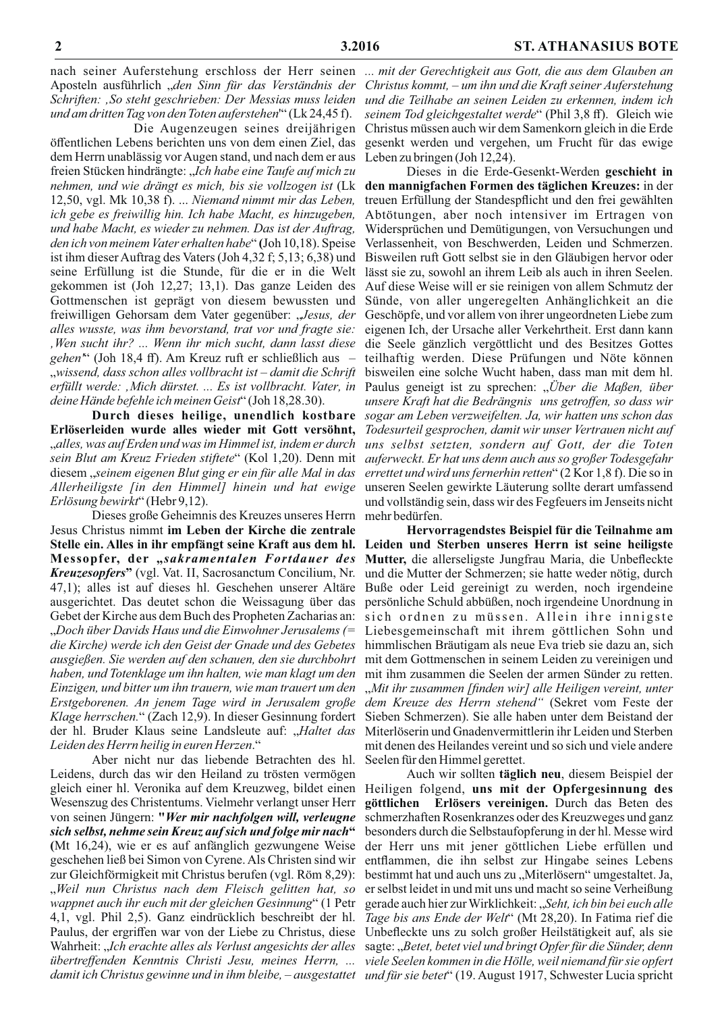und am dritten Tag von den Toten auferstehen" (Lk 24,45 f).

Die Augenzeugen seines dreijährigen öffentlichen Lebens berichten uns von dem einen Ziel, das dem Herrn unablässig vor Augen stand, und nach dem er aus freien Stücken hindrängte: "Ich habe eine Taufe auf mich zu nehmen, und wie drängt es mich, bis sie vollzogen ist (Lk 12,50, vgl. Mk 10,38 f). ... Niemand nimmt mir das Leben, ich gebe es freiwillig hin. Ich habe Macht, es hinzugeben, und habe Macht, es wieder zu nehmen. Das ist der Auftrag, den ich von meinem Vater erhalten habe" (Joh 10,18). Speise ist ihm dieser Auftrag des Vaters (Joh 4,32 f; 5,13; 6,38) und seine Erfüllung ist die Stunde, für die er in die Welt gekommen ist (Joh 12,27; 13,1). Das ganze Leiden des Gottmenschen ist geprägt von diesem bewussten und freiwilligen Gehorsam dem Vater gegenüber: "Jesus, der alles wusste, was ihm bevorstand, trat vor und fragte sie: Wen sucht ihr? ... Wenn ihr mich sucht, dann lasst diese gehen<sup>\*\*</sup> (Joh 18,4 ff). Am Kreuz ruft er schließlich aus – "wissend, dass schon alles vollbracht ist - damit die Schrift erfüllt werde: "Mich dürstet. ... Es ist vollbracht. Vater, in deine Hände befehle ich meinen Geist" (Joh 18,28.30).

Durch dieses heilige, unendlich kostbare Erlöserleiden wurde alles wieder mit Gott versöhnt, "alles, was auf Erden und was im Himmel ist, indem er durch sein Blut am Kreuz Frieden stiftete" (Kol 1,20). Denn mit diesem "seinem eigenen Blut ging er ein für alle Mal in das Allerheiligste [in den Himmel] hinein und hat ewige Erlösung bewirkt" (Hebr 9,12).

Dieses große Geheimnis des Kreuzes unseres Herrn Jesus Christus nimmt im Leben der Kirche die zentrale Messopfer, der "sakramentalen Fortdauer des *Kreuzesopfers*" (vgl. Vat. II, Sacrosanctum Concilium, Nr. 47,1); alles ist auf dieses hl. Geschehen unserer Altäre ausgerichtet. Das deutet schon die Weissagung über das Gebet der Kirche aus dem Buch des Propheten Zacharias an: "Doch über Davids Haus und die Einwohner Jerusalems (= die Kirche) werde ich den Geist der Gnade und des Gebetes ausgießen. Sie werden auf den schauen, den sie durchbohrt haben, und Totenklage um ihn halten, wie man klagt um den Einzigen, und bitter um ihn trauern, wie man trauert um den Erstgeborenen. An jenem Tage wird in Jerusalem große Klage herrschen." (Zach 12,9). In dieser Gesinnung fordert der hl. Bruder Klaus seine Landsleute auf: "Haltet das Leiden des Herrn heilig in euren Herzen."

Aber nicht nur das liebende Betrachten des hl. Leidens, durch das wir den Heiland zu trösten vermögen Wesenszug des Christentums. Vielmehr verlangt unser Herr von seinen Jüngern: "Wer mir nachfolgen will, verleugne sich selbst, nehme sein Kreuz auf sich und folge mir nach" (Mt 16,24), wie er es auf anfänglich gezwungene Weise geschehen ließ bei Simon von Cyrene. Als Christen sind wir zur Gleichförmigkeit mit Christus berufen (vgl. Röm 8,29): "Weil nun Christus nach dem Fleisch gelitten hat, so wappnet auch ihr euch mit der gleichen Gesinnung" (1 Petr 4,1, vgl. Phil 2,5). Ganz eindrücklich beschreibt der hl. Paulus, der ergriffen war von der Liebe zu Christus, diese Wahrheit: "Ich erachte alles als Verlust angesichts der alles übertreffenden Kenntnis Christi Jesu, meines Herrn, ...

nach seiner Auferstehung erschloss der Herr seinen ... mit der Gerechtigkeit aus Gott, die aus dem Glauben an Aposteln ausführlich "den Sinn für das Verständnis der Christus kommt, - um ihn und die Kraft seiner Auferstehung Schriften: ,So steht geschrieben: Der Messias muss leiden und die Teilhabe an seinen Leiden zu erkennen, indem ich seinem Tod gleichgestaltet werde" (Phil 3,8 ff). Gleich wie Christus müssen auch wir dem Samenkorn gleich in die Erde gesenkt werden und vergehen, um Frucht für das ewige Leben zu bringen (Joh 12,24).

> Dieses in die Erde-Gesenkt-Werden geschieht in den mannigfachen Formen des täglichen Kreuzes: in der treuen Erfüllung der Standespflicht und den frei gewählten Abtötungen, aber noch intensiver im Ertragen von Widersprüchen und Demütigungen, von Versuchungen und Verlassenheit, von Beschwerden, Leiden und Schmerzen. Bisweilen ruft Gott selbst sie in den Gläubigen hervor oder lässt sie zu, sowohl an ihrem Leib als auch in ihren Seelen. Auf diese Weise will er sie reinigen von allem Schmutz der Sünde, von aller ungeregelten Anhänglichkeit an die Geschöpfe, und vor allem von ihrer ungeordneten Liebe zum eigenen Ich, der Ursache aller Verkehrtheit. Erst dann kann die Seele gänzlich vergöttlicht und des Besitzes Gottes teilhaftig werden. Diese Prüfungen und Nöte können bisweilen eine solche Wucht haben, dass man mit dem hl. Paulus geneigt ist zu sprechen: "Über die Maßen, über unsere Kraft hat die Bedrängnis uns getroffen, so dass wir sogar am Leben verzweifelten. Ja, wir hatten uns schon das Todesurteil gesprochen, damit wir unser Vertrauen nicht auf uns selbst setzten, sondern auf Gott, der die Toten auferweckt. Er hat uns denn auch aus so großer Todesgefahr errettet und wird uns fernerhin retten" (2 Kor 1,8 f). Die so in unseren Seelen gewirkte Läuterung sollte derart umfassend und vollständig sein, dass wir des Fegfeuers im Jenseits nicht mehr bedürfen.

Hervorragendstes Beispiel für die Teilnahme am Stelle ein. Alles in ihr empfängt seine Kraft aus dem hl. Leiden und Sterben unseres Herrn ist seine heiligste Mutter, die allerseligste Jungfrau Maria, die Unbefleckte und die Mutter der Schmerzen; sie hatte weder nötig, durch Buße oder Leid gereinigt zu werden, noch irgendeine persönliche Schuld abbüßen, noch irgendeine Unordnung in sich ordnen zu müssen. Allein ihre innigste Liebesgemeinschaft mit ihrem göttlichen Sohn und himmlischen Bräutigam als neue Eva trieb sie dazu an, sich mit dem Gottmenschen in seinem Leiden zu vereinigen und mit ihm zusammen die Seelen der armen Sünder zu retten. "Mit ihr zusammen [finden wir] alle Heiligen vereint, unter dem Kreuze des Herrn stehend" (Sekret vom Feste der Sieben Schmerzen). Sie alle haben unter dem Beistand der Miterlöserin und Gnadenvermittlerin ihr Leiden und Sterben mit denen des Heilandes vereint und so sich und viele andere Seelen für den Himmel gerettet.

Auch wir sollten täglich neu, diesem Beispiel der gleich einer hl. Veronika auf dem Kreuzweg, bildet einen Heiligen folgend, uns mit der Opfergesinnung des göttlichen Erlösers vereinigen. Durch das Beten des schmerzhaften Rosenkranzes oder des Kreuzweges und ganz besonders durch die Selbstaufopferung in der hl. Messe wird der Herr uns mit jener göttlichen Liebe erfüllen und entflammen, die ihn selbst zur Hingabe seines Lebens bestimmt hat und auch uns zu "Miterlösern" umgestaltet. Ja, er selbst leidet in und mit uns und macht so seine Verheißung gerade auch hier zur Wirklichkeit: "Seht, ich bin bei euch alle Tage bis ans Ende der Welt" (Mt 28,20). In Fatima rief die Unbefleckte uns zu solch großer Heilstätigkeit auf, als sie sagte: "Betet, betet viel und bringt Opfer für die Sünder, denn viele Seelen kommen in die Hölle, weil niemand für sie opfert damit ich Christus gewinne und in ihm bleibe, – ausgestattet und für sie betet" (19. August 1917, Schwester Lucia spricht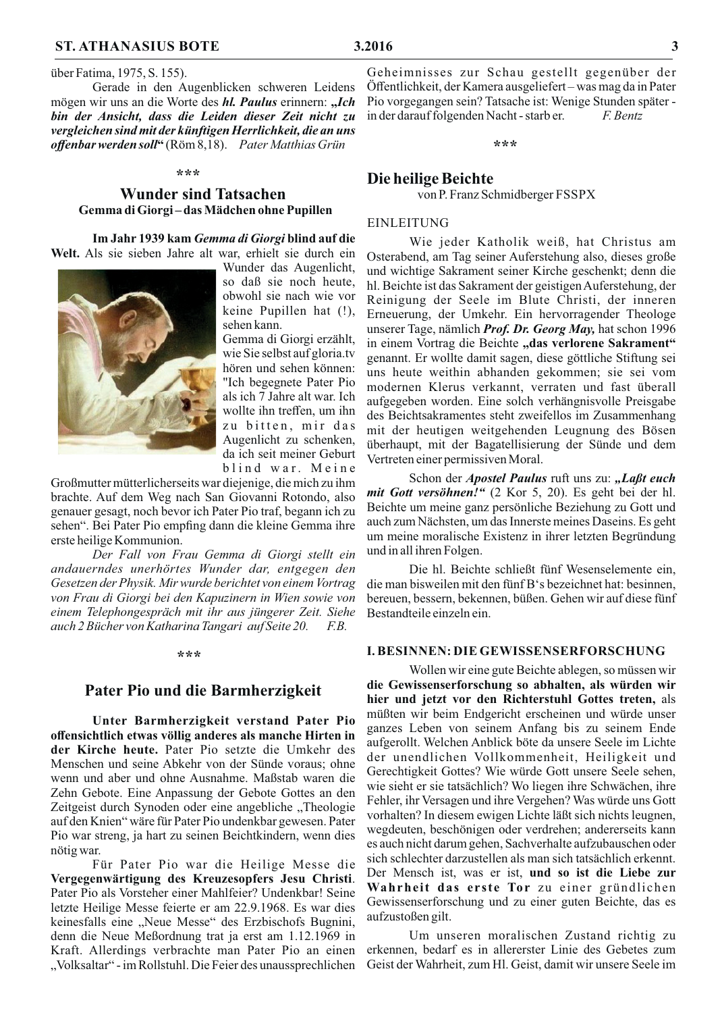Gerade in den Augenblicken schweren Leidens mögen wir uns an die Worte des hl. Paulus erinnern: "Ich bin der Ansicht, dass die Leiden dieser Zeit nicht zu vergleichen sind mit der künftigen Herrlichkeit, die an uns offenbar werden soll" (Röm 8,18). Pater Matthias Grün

#### \*\*\*

## **Wunder sind Tatsachen** Gemma di Giorgi-das Mädchen ohne Pupillen

Im Jahr 1939 kam Gemma di Giorgi blind auf die Welt. Als sie sieben Jahre alt war, erhielt sie durch ein

Wunder das Augenlicht, so daß sie noch heute, obwohl sie nach wie vor keine Pupillen hat (!), sehen kann.

Gemma di Giorgi erzählt, wie Sie selbst auf gloria.tv hören und sehen können: "Ich begegnete Pater Pio als ich 7 Jahre alt war. Ich wollte ihn treffen, um ihn zu bitten, mir das Augenlicht zu schenken, da ich seit meiner Geburt blind war. Meine

Großmutter mütterlicherseits war diejenige, die mich zu ihm brachte. Auf dem Weg nach San Giovanni Rotondo, also genauer gesagt, noch bevor ich Pater Pio traf, begann ich zu sehen". Bei Pater Pio empfing dann die kleine Gemma ihre erste heilige Kommunion.

Der Fall von Frau Gemma di Giorgi stellt ein andauerndes unerhörtes Wunder dar, entgegen den Gesetzen der Physik. Mir wurde berichtet von einem Vortrag von Frau di Giorgi bei den Kapuzinern in Wien sowie von einem Telephongespräch mit ihr aus jüngerer Zeit. Siehe auch 2 Bücher von Katharina Tangari auf Seite 20.  $F.B.$ 

#### \*\*\*

## Pater Pio und die Barmherzigkeit

Unter Barmherzigkeit verstand Pater Pio offensichtlich etwas völlig anderes als manche Hirten in der Kirche heute. Pater Pio setzte die Umkehr des Menschen und seine Abkehr von der Sünde voraus; ohne wenn und aber und ohne Ausnahme. Maßstab waren die Zehn Gebote. Eine Anpassung der Gebote Gottes an den Zeitgeist durch Synoden oder eine angebliche "Theologie auf den Knien" wäre für Pater Pio undenkbar gewesen. Pater Pio war streng, ja hart zu seinen Beichtkindern, wenn dies nötig war.

Für Pater Pio war die Heilige Messe die Vergegenwärtigung des Kreuzesopfers Jesu Christi. Pater Pio als Vorsteher einer Mahlfeier? Undenkbar! Seine letzte Heilige Messe feierte er am 22.9.1968. Es war dies keinesfalls eine "Neue Messe" des Erzbischofs Bugnini, denn die Neue Meßordnung trat ja erst am 1.12.1969 in Kraft. Allerdings verbrachte man Pater Pio an einen "Volksaltar" - im Rollstuhl. Die Feier des unaussprechlichen

Geheimnisses zur Schau gestellt gegenüber der Öffentlichkeit, der Kamera ausgeliefert-was mag da in Pater Pio vorgegangen sein? Tatsache ist: Wenige Stunden später in der darauf folgenden Nacht - starb er. F Rentz

\*\*\*

## Die heilige Beichte

von P. Franz Schmidberger FSSPX

### **EINLEITUNG**

Wie jeder Katholik weiß, hat Christus am Osterabend, am Tag seiner Auferstehung also, dieses große und wichtige Sakrament seiner Kirche geschenkt; denn die hl. Beichte ist das Sakrament der geistigen Auferstehung, der Reinigung der Seele im Blute Christi, der inneren Erneuerung, der Umkehr. Ein hervorragender Theologe unserer Tage, nämlich Prof. Dr. Georg May, hat schon 1996 in einem Vortrag die Beichte "das verlorene Sakrament" genannt. Er wollte damit sagen, diese göttliche Stiftung sei uns heute weithin abhanden gekommen; sie sei vom modernen Klerus verkannt, verraten und fast überall aufgegeben worden. Eine solch verhängnisvolle Preisgabe des Beichtsakramentes steht zweifellos im Zusammenhang mit der heutigen weitgehenden Leugnung des Bösen überhaupt, mit der Bagatellisierung der Sünde und dem Vertreten einer permissiven Moral.

Schon der Apostel Paulus ruft uns zu: "Laßt euch mit Gott versöhnen!" (2 Kor 5, 20). Es geht bei der hl. Beichte um meine ganz persönliche Beziehung zu Gott und auch zum Nächsten, um das Innerste meines Daseins. Es geht um meine moralische Existenz in ihrer letzten Begründung und in all ihren Folgen.

Die hl. Beichte schließt fünf Wesenselemente ein, die man bisweilen mit den fünf B's bezeichnet hat: besinnen, bereuen, bessern, bekennen, büßen. Gehen wir auf diese fünf Bestandteile einzeln ein.

#### **I. BESINNEN: DIE GEWISSENSERFORSCHUNG**

Wollen wir eine gute Beichte ablegen, so müssen wir die Gewissenserforschung so abhalten, als würden wir hier und jetzt vor den Richterstuhl Gottes treten, als müßten wir beim Endgericht erscheinen und würde unser ganzes Leben von seinem Anfang bis zu seinem Ende aufgerollt. Welchen Anblick böte da unsere Seele im Lichte der unendlichen Vollkommenheit, Heiligkeit und Gerechtigkeit Gottes? Wie würde Gott unsere Seele sehen, wie sieht er sie tatsächlich? Wo liegen ihre Schwächen, ihre Fehler, ihr Versagen und ihre Vergehen? Was würde uns Gott vorhalten? In diesem ewigen Lichte läßt sich nichts leugnen, wegdeuten, beschönigen oder verdrehen; andererseits kann es auch nicht darum gehen, Sachverhalte aufzubauschen oder sich schlechter darzustellen als man sich tatsächlich erkennt. Der Mensch ist, was er ist, und so ist die Liebe zur Wahrheit das erste Tor zu einer gründlichen Gewissenserforschung und zu einer guten Beichte, das es aufzustoßen gilt.

Um unseren moralischen Zustand richtig zu erkennen, bedarf es in allererster Linie des Gebetes zum Geist der Wahrheit, zum Hl. Geist, damit wir unsere Seele im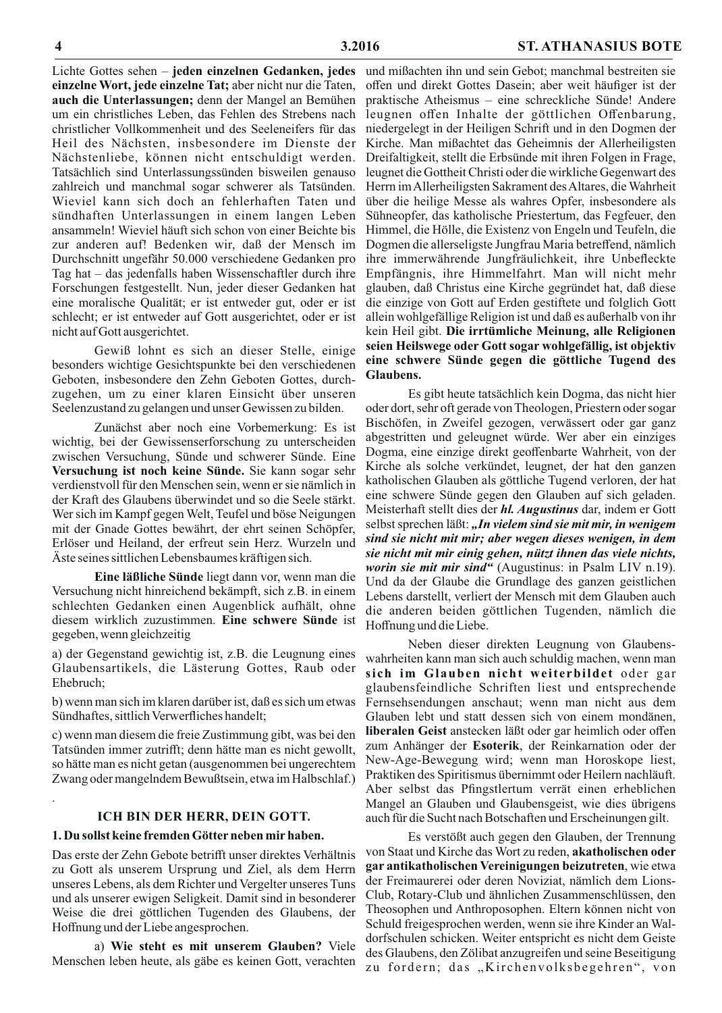Lichte Gottes sehen - jeden einzelnen Gedanken, jedes und mißachten ihn und sein Gebot; manchmal bestreiten sie einzelne Wort, jede einzelne Tat; aber nicht nur die Taten, auch die Unterlassungen; denn der Mangel an Bemühen um ein christliches Leben, das Fehlen des Strebens nach christlicher Vollkommenheit und des Seeleneifers für das Heil des Nächsten, insbesondere im Dienste der Nächstenliebe, können nicht entschuldigt werden. Tatsächlich sind Unterlassungssünden bisweilen genauso zahlreich und manchmal sogar schwerer als Tatsünden. Wieviel kann sich doch an fehlerhaften Taten und sündhaften Unterlassungen in einem langen Leben ansammeln! Wieviel häuft sich schon von einer Beichte bis zur anderen auf! Bedenken wir, daß der Mensch im Durchschnitt ungefähr 50.000 verschiedene Gedanken pro Tag hat – das jedenfalls haben Wissenschaftler durch ihre Forschungen festgestellt. Nun, jeder dieser Gedanken hat eine moralische Qualität; er ist entweder gut, oder er ist schlecht; er ist entweder auf Gott ausgerichtet, oder er ist nicht auf Gott ausgerichtet.

Gewiß lohnt es sich an dieser Stelle, einige besonders wichtige Gesichtspunkte bei den verschiedenen Geboten, insbesondere den Zehn Geboten Gottes, durchzugehen, um zu einer klaren Einsicht über unseren Seelenzustand zu gelangen und unser Gewissen zu bilden.

Zunächst aber noch eine Vorbemerkung: Es ist wichtig, bei der Gewissenserforschung zu unterscheiden zwischen Versuchung, Sünde und schwerer Sünde. Eine Versuchung ist noch keine Sünde. Sie kann sogar sehr verdienstvoll für den Menschen sein, wenn er sie nämlich in der Kraft des Glaubens überwindet und so die Seele stärkt. Wer sich im Kampf gegen Welt, Teufel und böse Neigungen mit der Gnade Gottes bewährt, der ehrt seinen Schöpfer, Erlöser und Heiland, der erfreut sein Herz. Wurzeln und Äste seines sittlichen Lebensbaumes kräftigen sich.

Eine läßliche Sünde liegt dann vor, wenn man die Versuchung nicht hinreichend bekämpft, sich z.B. in einem schlechten Gedanken einen Augenblick aufhält, ohne diesem wirklich zuzustimmen. Eine schwere Sünde ist gegeben, wenn gleichzeitig

a) der Gegenstand gewichtig ist, z.B. die Leugnung eines Glaubensartikels, die Lästerung Gottes, Raub oder Ehebruch;

b) wenn man sich im klaren darüber ist, daß es sich um etwas Sündhaftes, sittlich Verwerfliches handelt;

c) wenn man diesem die freie Zustimmung gibt, was bei den Tatsünden immer zutrifft; denn hätte man es nicht gewollt, so hätte man es nicht getan (ausgenommen bei ungerechtem Zwang oder mangelndem Bewußtsein, etwa im Halbschlaf.)

## **ICH BIN DER HERR, DEIN GOTT.**

## 1. Du sollst keine fremden Götter neben mir haben.

Das erste der Zehn Gebote betrifft unser direktes Verhältnis zu Gott als unserem Ursprung und Ziel, als dem Herrn unseres Lebens, als dem Richter und Vergelter unseres Tuns und als unserer ewigen Seligkeit. Damit sind in besonderer Weise die drei göttlichen Tugenden des Glaubens, der Hoffnung und der Liebe angesprochen.

a) Wie steht es mit unserem Glauben? Viele Menschen leben heute, als gäbe es keinen Gott, verachten

offen und direkt Gottes Dasein; aber weit häufiger ist der praktische Atheismus – eine schreckliche Sünde! Andere leugnen offen Inhalte der göttlichen Offenbarung, niedergelegt in der Heiligen Schrift und in den Dogmen der Kirche. Man mißachtet das Geheimnis der Allerheiligsten Dreifaltigkeit, stellt die Erbsünde mit ihren Folgen in Frage, leugnet die Gottheit Christi oder die wirkliche Gegenwart des Herrn im Allerheiligsten Sakrament des Altares, die Wahrheit über die heilige Messe als wahres Opfer, insbesondere als Sühneopfer, das katholische Priestertum, das Fegfeuer, den Himmel, die Hölle, die Existenz von Engeln und Teufeln, die Dogmen die allerseligste Jungfrau Maria betreffend, nämlich ihre immerwährende Jungfräulichkeit, ihre Unbefleckte Empfängnis, ihre Himmelfahrt. Man will nicht mehr glauben, daß Christus eine Kirche gegründet hat, daß diese die einzige von Gott auf Erden gestiftete und folglich Gott allein wohlgefällige Religion ist und daß es außerhalb von ihr kein Heil gibt. Die irrtümliche Meinung, alle Religionen seien Heilswege oder Gott sogar wohlgefällig, ist objektiv eine schwere Sünde gegen die göttliche Tugend des **Glaubens.** 

Es gibt heute tatsächlich kein Dogma, das nicht hier oder dort, sehr oft gerade von Theologen, Priestern oder sogar Bischöfen, in Zweifel gezogen, verwässert oder gar ganz abgestritten und geleugnet würde. Wer aber ein einziges Dogma, eine einzige direkt geoffenbarte Wahrheit, von der Kirche als solche verkündet, leugnet, der hat den ganzen katholischen Glauben als göttliche Tugend verloren, der hat eine schwere Sünde gegen den Glauben auf sich geladen. Meisterhaft stellt dies der *hl. Augustinus* dar, indem er Gott selbst sprechen läßt: "In vielem sind sie mit mir, in wenigem sind sie nicht mit mir; aber wegen dieses wenigen, in dem sie nicht mit mir einig gehen, nützt ihnen das viele nichts, worin sie mit mir sind" (Augustinus: in Psalm LIV n.19). Und da der Glaube die Grundlage des ganzen geistlichen Lebens darstellt, verliert der Mensch mit dem Glauben auch die anderen beiden göttlichen Tugenden, nämlich die Hoffnung und die Liebe.

Neben dieser direkten Leugnung von Glaubenswahrheiten kann man sich auch schuldig machen, wenn man sich im Glauben nicht weiterbildet oder gar glaubensfeindliche Schriften liest und entsprechende Fernsehsendungen anschaut; wenn man nicht aus dem Glauben lebt und statt dessen sich von einem mondänen, liberalen Geist anstecken läßt oder gar heimlich oder offen zum Anhänger der Esoterik, der Reinkarnation oder der New-Age-Bewegung wird; wenn man Horoskope liest, Praktiken des Spiritismus übernimmt oder Heilern nachläuft. Aber selbst das Pfingstlertum verrät einen erheblichen Mangel an Glauben und Glaubensgeist, wie dies übrigens auch für die Sucht nach Botschaften und Erscheinungen gilt.

Es verstößt auch gegen den Glauben, der Trennung von Staat und Kirche das Wort zu reden, akatholischen oder gar antikatholischen Vereinigungen beizutreten, wie etwa der Freimaurerei oder deren Noviziat, nämlich dem Lions-Club, Rotary-Club und ähnlichen Zusammenschlüssen, den Theosophen und Anthroposophen. Eltern können nicht von Schuld freigesprochen werden, wenn sie ihre Kinder an Waldorfschulen schicken. Weiter entspricht es nicht dem Geiste des Glaubens, den Zölibat anzugreifen und seine Beseitigung zu fordern; das "Kirchenvolksbegehren", von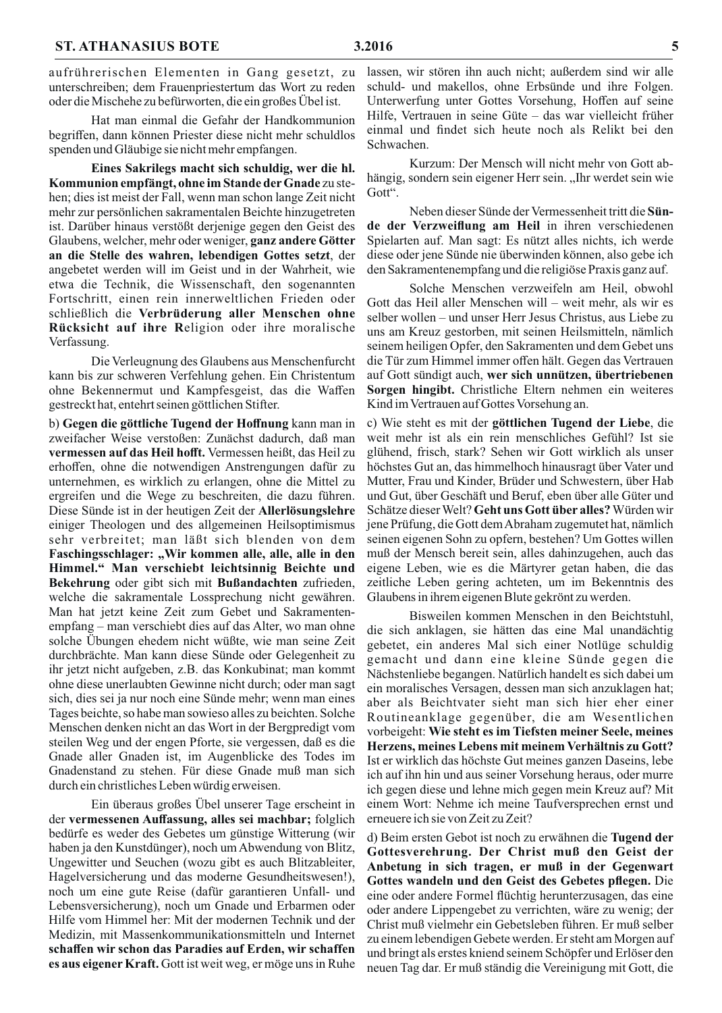aufrührerischen Elementen in Gang gesetzt, zu unterschreiben; dem Frauenpriestertum das Wort zu reden oder die Mischehe zu befürworten, die ein großes Übel ist.

Hat man einmal die Gefahr der Handkommunion begriffen, dann können Priester diese nicht mehr schuldlos spenden und Gläubige sie nicht mehr empfangen.

Eines Sakrilegs macht sich schuldig, wer die hl. Kommunion empfängt, ohne im Stande der Gnade zu stehen; dies ist meist der Fall, wenn man schon lange Zeit nicht mehr zur persönlichen sakramentalen Beichte hinzugetreten ist. Darüber hinaus verstößt derjenige gegen den Geist des Glaubens, welcher, mehr oder weniger, ganz andere Götter an die Stelle des wahren, lebendigen Gottes setzt, der angebetet werden will im Geist und in der Wahrheit, wie etwa die Technik, die Wissenschaft, den sogenannten Fortschritt, einen rein innerweltlichen Frieden oder schließlich die Verbrüderung aller Menschen ohne Rücksicht auf ihre Religion oder ihre moralische Verfassung.

Die Verleugnung des Glaubens aus Menschenfurcht kann bis zur schweren Verfehlung gehen. Ein Christentum ohne Bekennermut und Kampfesgeist, das die Waffen gestreckt hat, entehrt seinen göttlichen Stifter.

b) Gegen die göttliche Tugend der Hoffnung kann man in zweifacher Weise verstoßen: Zunächst dadurch, daß man vermessen auf das Heil hofft. Vermessen heißt, das Heil zu erhoffen, ohne die notwendigen Anstrengungen dafür zu unternehmen, es wirklich zu erlangen, ohne die Mittel zu ergreifen und die Wege zu beschreiten, die dazu führen. Diese Sünde ist in der heutigen Zeit der Allerlösungslehre einiger Theologen und des allgemeinen Heilsoptimismus sehr verbreitet; man läßt sich blenden von dem Faschingsschlager: "Wir kommen alle, alle, alle in den Himmel." Man verschiebt leichtsinnig Beichte und Bekehrung oder gibt sich mit Bußandachten zufrieden, welche die sakramentale Lossprechung nicht gewähren. Man hat jetzt keine Zeit zum Gebet und Sakramentenempfang – man verschiebt dies auf das Alter, wo man ohne solche Übungen ehedem nicht wüßte, wie man seine Zeit durchbrächte. Man kann diese Sünde oder Gelegenheit zu ihr jetzt nicht aufgeben, z.B. das Konkubinat; man kommt ohne diese unerlaubten Gewinne nicht durch; oder man sagt sich, dies sei ja nur noch eine Sünde mehr; wenn man eines Tages beichte, so habe man sowieso alles zu beichten. Solche Menschen denken nicht an das Wort in der Bergpredigt vom steilen Weg und der engen Pforte, sie vergessen, daß es die Gnade aller Gnaden ist, im Augenblicke des Todes im Gnadenstand zu stehen. Für diese Gnade muß man sich durch ein christliches Leben würdig erweisen.

Ein überaus großes Übel unserer Tage erscheint in der vermessenen Auffassung, alles sei machbar; folglich bedürfe es weder des Gebetes um günstige Witterung (wir haben ja den Kunstdünger), noch um Abwendung von Blitz, Ungewitter und Seuchen (wozu gibt es auch Blitzableiter, Hagelversicherung und das moderne Gesundheitswesen!), noch um eine gute Reise (dafür garantieren Unfall- und Lebensversicherung), noch um Gnade und Erbarmen oder Hilfe vom Himmel her: Mit der modernen Technik und der Medizin, mit Massenkommunikationsmitteln und Internet schaffen wir schon das Paradies auf Erden, wir schaffen es aus eigener Kraft. Gott ist weit weg, er möge uns in Ruhe lassen, wir stören ihn auch nicht; außerdem sind wir alle schuld- und makellos, ohne Erbsünde und ihre Folgen. Unterwerfung unter Gottes Vorsehung, Hoffen auf seine Hilfe, Vertrauen in seine Güte - das war vielleicht früher einmal und findet sich heute noch als Relikt bei den Schwachen.

Kurzum: Der Mensch will nicht mehr von Gott abhängig, sondern sein eigener Herr sein. "Ihr werdet sein wie Gott".

Neben dieser Sünde der Vermessenheit tritt die Sünde der Verzweiflung am Heil in ihren verschiedenen Spielarten auf. Man sagt: Es nützt alles nichts, ich werde diese oder jene Sünde nie überwinden können, also gebe ich den Sakramentenempfang und die religiöse Praxis ganz auf.

Solche Menschen verzweifeln am Heil, obwohl Gott das Heil aller Menschen will – weit mehr, als wir es selber wollen – und unser Herr Jesus Christus, aus Liebe zu uns am Kreuz gestorben, mit seinen Heilsmitteln, nämlich seinem heiligen Opfer, den Sakramenten und dem Gebet uns die Tür zum Himmel immer offen hält. Gegen das Vertrauen auf Gott sündigt auch, wer sich unnützen, übertriebenen Sorgen hingibt. Christliche Eltern nehmen ein weiteres Kind im Vertrauen auf Gottes Vorsehung an.

c) Wie steht es mit der göttlichen Tugend der Liebe, die weit mehr ist als ein rein menschliches Gefühl? Ist sie glühend, frisch, stark? Sehen wir Gott wirklich als unser höchstes Gut an, das himmelhoch hinausragt über Vater und Mutter, Frau und Kinder, Brüder und Schwestern, über Hab und Gut, über Geschäft und Beruf, eben über alle Güter und Schätze dieser Welt? Geht uns Gott über alles? Würden wir jene Prüfung, die Gott dem Abraham zugemutet hat, nämlich seinen eigenen Sohn zu opfern, bestehen? Um Gottes willen muß der Mensch bereit sein, alles dahinzugehen, auch das eigene Leben, wie es die Märtyrer getan haben, die das zeitliche Leben gering achteten, um im Bekenntnis des Glaubens in ihrem eigenen Blute gekrönt zu werden.

Bisweilen kommen Menschen in den Beichtstuhl, die sich anklagen, sie hätten das eine Mal unandächtig gebetet, ein anderes Mal sich einer Notlüge schuldig gemacht und dann eine kleine Sünde gegen die Nächstenliebe begangen. Natürlich handelt es sich dabei um ein moralisches Versagen, dessen man sich anzuklagen hat; aber als Beichtvater sieht man sich hier eher einer Routineanklage gegenüber, die am Wesentlichen vorbeigeht: Wie steht es im Tiefsten meiner Seele, meines Herzens, meines Lebens mit meinem Verhältnis zu Gott? Ist er wirklich das höchste Gut meines ganzen Daseins, lebe ich auf ihn hin und aus seiner Vorsehung heraus, oder murre ich gegen diese und lehne mich gegen mein Kreuz auf? Mit einem Wort: Nehme ich meine Taufversprechen ernst und erneuere ich sie von Zeit zu Zeit?

d) Beim ersten Gebot ist noch zu erwähnen die Tugend der Gottesverehrung. Der Christ muß den Geist der Anbetung in sich tragen, er muß in der Gegenwart Gottes wandeln und den Geist des Gebetes pflegen. Die eine oder andere Formel flüchtig herunterzusagen, das eine oder andere Lippengebet zu verrichten, wäre zu wenig; der Christ muß vielmehr ein Gebetsleben führen. Er muß selber zu einem lebendigen Gebete werden. Er steht am Morgen auf und bringt als erstes kniend seinem Schöpfer und Erlöser den neuen Tag dar. Er muß ständig die Vereinigung mit Gott, die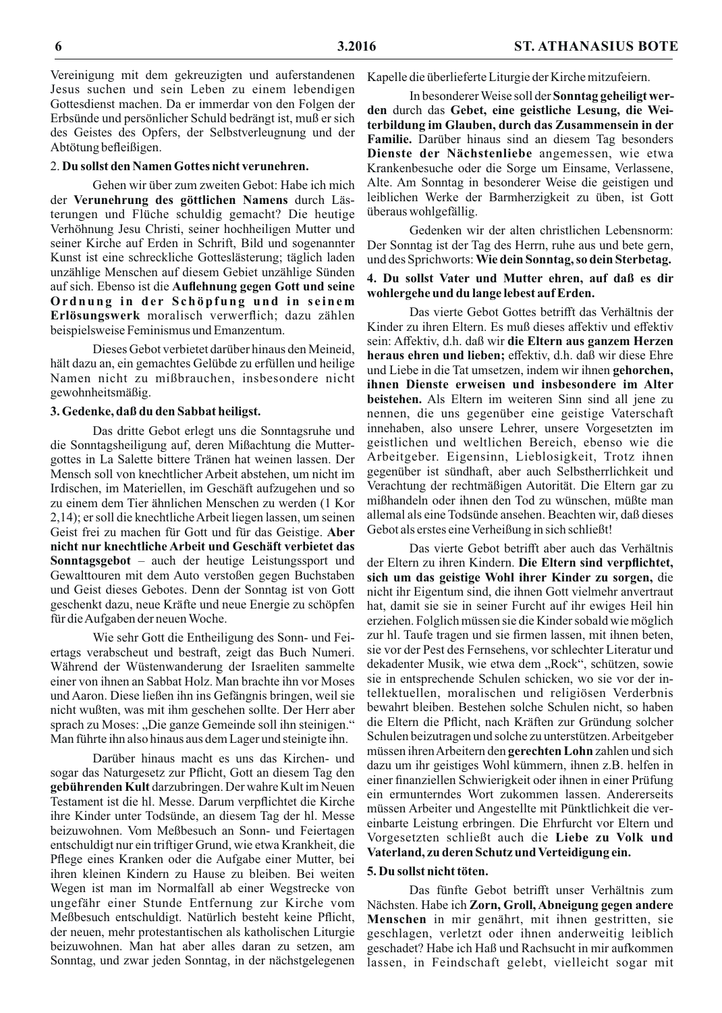Vereinigung mit dem gekreuzigten und auferstandenen Jesus suchen und sein Leben zu einem lebendigen Gottesdienst machen. Da er immerdar von den Folgen der Erbsünde und persönlicher Schuld bedrängt ist, muß er sich des Geistes des Opfers, der Selbstverleugnung und der Abtötung befleißigen.

## 2. Du sollst den Namen Gottes nicht verunehren.

Gehen wir über zum zweiten Gebot: Habe ich mich der Verunehrung des göttlichen Namens durch Lästerungen und Flüche schuldig gemacht? Die heutige Verhöhnung Jesu Christi, seiner hochheiligen Mutter und seiner Kirche auf Erden in Schrift, Bild und sogenannter Kunst ist eine schreckliche Gotteslästerung; täglich laden unzählige Menschen auf diesem Gebiet unzählige Sünden auf sich. Ebenso ist die Auflehnung gegen Gott und seine Ordnung in der Schöpfung und in seinem Erlösungswerk moralisch verwerflich; dazu zählen beispielsweise Feminismus und Emanzentum.

Dieses Gebot verbietet darüber hinaus den Meineid, hält dazu an, ein gemachtes Gelübde zu erfüllen und heilige Namen nicht zu mißbrauchen, insbesondere nicht gewohnheitsmäßig.

## 3. Gedenke, daß du den Sabbat heiligst.

Das dritte Gebot erlegt uns die Sonntagsruhe und die Sonntagsheiligung auf, deren Mißachtung die Muttergottes in La Salette bittere Tränen hat weinen lassen. Der Mensch soll von knechtlicher Arbeit abstehen, um nicht im Irdischen, im Materiellen, im Geschäft aufzugehen und so zu einem dem Tier ähnlichen Menschen zu werden (1 Kor 2,14); er soll die knechtliche Arbeit liegen lassen, um seinen Geist frei zu machen für Gott und für das Geistige. Aber nicht nur knechtliche Arbeit und Geschäft verbietet das Sonntagsgebot - auch der heutige Leistungssport und Gewalttouren mit dem Auto verstoßen gegen Buchstaben und Geist dieses Gebotes. Denn der Sonntag ist von Gott geschenkt dazu, neue Kräfte und neue Energie zu schöpfen für die Aufgaben der neuen Woche.

Wie sehr Gott die Entheiligung des Sonn- und Feiertags verabscheut und bestraft, zeigt das Buch Numeri. Während der Wüstenwanderung der Israeliten sammelte einer von ihnen an Sabbat Holz. Man brachte ihn vor Moses und Aaron. Diese ließen ihn ins Gefängnis bringen, weil sie nicht wußten, was mit ihm geschehen sollte. Der Herr aber sprach zu Moses: "Die ganze Gemeinde soll ihn steinigen." Man führte ihn also hinaus aus dem Lager und steinigte ihn.

Darüber hinaus macht es uns das Kirchen- und sogar das Naturgesetz zur Pflicht, Gott an diesem Tag den gebührenden Kult darzubringen. Der wahre Kult im Neuen Testament ist die hl. Messe. Darum verpflichtet die Kirche ihre Kinder unter Todsünde, an diesem Tag der hl. Messe beizuwohnen. Vom Meßbesuch an Sonn- und Feiertagen entschuldigt nur ein triftiger Grund, wie etwa Krankheit, die Pflege eines Kranken oder die Aufgabe einer Mutter, bei ihren kleinen Kindern zu Hause zu bleiben. Bei weiten Wegen ist man im Normalfall ab einer Wegstrecke von ungefähr einer Stunde Entfernung zur Kirche vom Meßbesuch entschuldigt. Natürlich besteht keine Pflicht, der neuen, mehr protestantischen als katholischen Liturgie beizuwohnen. Man hat aber alles daran zu setzen, am Sonntag, und zwar jeden Sonntag, in der nächstgelegenen Kapelle die überlieferte Liturgie der Kirche mitzufeiern.

In besonderer Weise soll der Sonntag geheiligt werden durch das Gebet, eine geistliche Lesung, die Weiterbildung im Glauben, durch das Zusammensein in der Familie. Darüber hinaus sind an diesem Tag besonders Dienste der Nächstenliebe angemessen, wie etwa Krankenbesuche oder die Sorge um Einsame, Verlassene, Alte. Am Sonntag in besonderer Weise die geistigen und leiblichen Werke der Barmherzigkeit zu üben, ist Gott überaus wohlgefällig.

Gedenken wir der alten christlichen Lebensnorm: Der Sonntag ist der Tag des Herrn, ruhe aus und bete gern, und des Sprichworts: Wie dein Sonntag, so dein Sterbetag.

## 4. Du sollst Vater und Mutter ehren, auf daß es dir wohlergehe und du lange lebest auf Erden.

Das vierte Gebot Gottes betrifft das Verhältnis der Kinder zu ihren Eltern. Es muß dieses affektiv und effektiv sein: Affektiv, d.h. daß wir die Eltern aus ganzem Herzen heraus ehren und lieben; effektiv, d.h. daß wir diese Ehre und Liebe in die Tat umsetzen, indem wir ihnen gehorchen, ihnen Dienste erweisen und insbesondere im Alter beistehen. Als Eltern im weiteren Sinn sind all jene zu nennen, die uns gegenüber eine geistige Vaterschaft innehaben, also unsere Lehrer, unsere Vorgesetzten im geistlichen und weltlichen Bereich, ebenso wie die Arbeitgeber. Eigensinn, Lieblosigkeit, Trotz ihnen gegenüber ist sündhaft, aber auch Selbstherrlichkeit und Verachtung der rechtmäßigen Autorität. Die Eltern gar zu mißhandeln oder ihnen den Tod zu wünschen, müßte man allemal als eine Todsünde ansehen. Beachten wir, daß dieses Gebot als erstes eine Verheißung in sich schließt!

Das vierte Gebot betrifft aber auch das Verhältnis der Eltern zu ihren Kindern. Die Eltern sind verpflichtet, sich um das geistige Wohl ihrer Kinder zu sorgen, die nicht ihr Eigentum sind, die ihnen Gott vielmehr anvertraut hat, damit sie sie in seiner Furcht auf ihr ewiges Heil hin erziehen. Folglich müssen sie die Kinder sobald wie möglich zur hl. Taufe tragen und sie firmen lassen, mit ihnen beten, sie vor der Pest des Fernsehens, vor schlechter Literatur und dekadenter Musik, wie etwa dem "Rock", schützen, sowie sie in entsprechende Schulen schicken, wo sie vor der intellektuellen, moralischen und religiösen Verderbnis bewahrt bleiben. Bestehen solche Schulen nicht, so haben die Eltern die Pflicht, nach Kräften zur Gründung solcher Schulen beizutragen und solche zu unterstützen. Arbeitgeber müssen ihren Arbeitern den gerechten Lohn zahlen und sich dazu um ihr geistiges Wohl kümmern, ihnen z.B. helfen in einer finanziellen Schwierigkeit oder ihnen in einer Prüfung ein ermunterndes Wort zukommen lassen. Andererseits müssen Arbeiter und Angestellte mit Pünktlichkeit die vereinbarte Leistung erbringen. Die Ehrfurcht vor Eltern und Vorgesetzten schließt auch die Liebe zu Volk und Vaterland, zu deren Schutz und Verteidigung ein.

## 5. Du sollst nicht töten.

Das fünfte Gebot betrifft unser Verhältnis zum Nächsten. Habe ich Zorn, Groll, Abneigung gegen andere Menschen in mir genährt, mit ihnen gestritten, sie geschlagen, verletzt oder ihnen anderweitig leiblich geschadet? Habe ich Haß und Rachsucht in mir aufkommen lassen, in Feindschaft gelebt, vielleicht sogar mit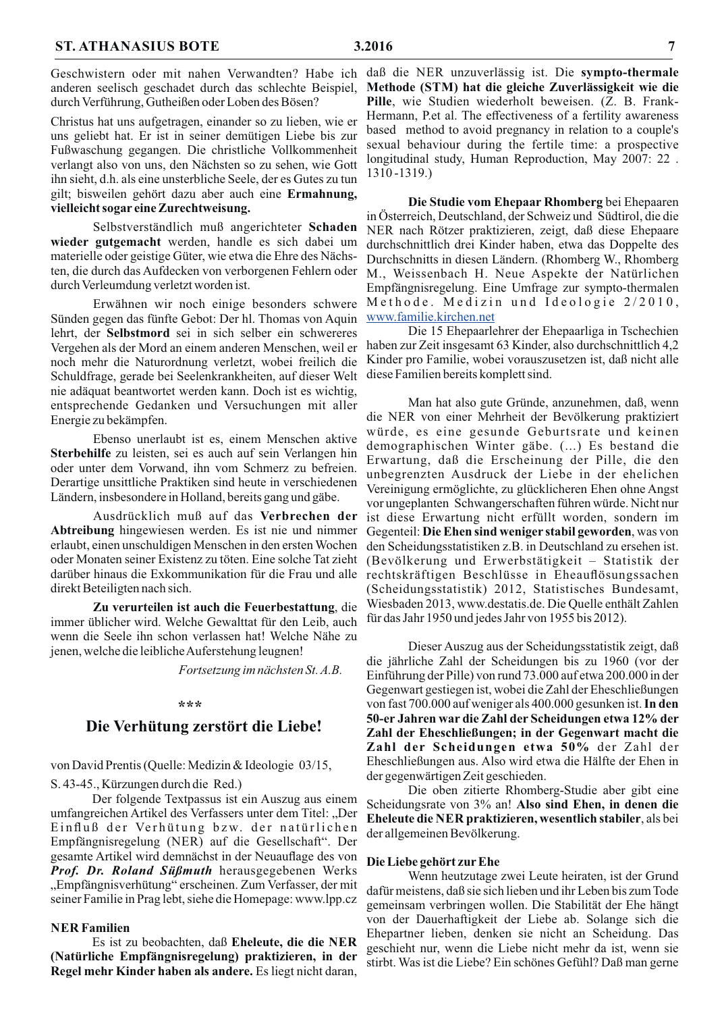anderen seelisch geschadet durch das schlechte Beispiel, durch Verführung, Gutheißen oder Loben des Bösen?

Christus hat uns aufgetragen, einander so zu lieben, wie er uns geliebt hat. Er ist in seiner demütigen Liebe bis zur Fußwaschung gegangen. Die christliche Vollkommenheit verlangt also von uns, den Nächsten so zu sehen, wie Gott ihn sieht, d.h. als eine unsterbliche Seele, der es Gutes zu tun gilt; bisweilen gehört dazu aber auch eine Ermahnung, vielleicht sogar eine Zurechtweisung.

Selbstverständlich muß angerichteter Schaden wieder gutgemacht werden, handle es sich dabei um materielle oder geistige Güter, wie etwa die Ehre des Nächsten, die durch das Aufdecken von verborgenen Fehlern oder durch Verleumdung verletzt worden ist.

Erwähnen wir noch einige besonders schwere Sünden gegen das fünfte Gebot: Der hl. Thomas von Aquin lehrt, der Selbstmord sei in sich selber ein schwereres Vergehen als der Mord an einem anderen Menschen, weil er noch mehr die Naturordnung verletzt, wobei freilich die Schuldfrage, gerade bei Seelenkrankheiten, auf dieser Welt nie adäquat beantwortet werden kann. Doch ist es wichtig, entsprechende Gedanken und Versuchungen mit aller Energie zu bekämpfen.

Ebenso unerlaubt ist es, einem Menschen aktive Sterbehilfe zu leisten, sei es auch auf sein Verlangen hin oder unter dem Vorwand, ihn vom Schmerz zu befreien. Derartige unsittliche Praktiken sind heute in verschiedenen Ländern, insbesondere in Holland, bereits gang und gäbe.

Ausdrücklich muß auf das Verbrechen der Abtreibung hingewiesen werden. Es ist nie und nimmer erlaubt, einen unschuldigen Menschen in den ersten Wochen oder Monaten seiner Existenz zu töten. Eine solche Tat zieht direkt Beteiligten nach sich.

Zu verurteilen ist auch die Feuerbestattung, die immer üblicher wird. Welche Gewalttat für den Leib, auch wenn die Seele ihn schon verlassen hat! Welche Nähe zu jenen, welche die leibliche Auferstehung leugnen!

Fortsetzung im nächsten St. A.B.

#### \*\*\*

## Die Verhütung zerstört die Liebe!

von David Prentis (Quelle: Medizin & Ideologie 03/15,

S. 43-45., Kürzungen durch die Red.)

Der folgende Textpassus ist ein Auszug aus einem umfangreichen Artikel des Verfassers unter dem Titel: "Der Einfluß der Verhütung bzw. der natürlichen Empfängnisregelung (NER) auf die Gesellschaft". Der gesamte Artikel wird demnächst in der Neuauflage des von Prof. Dr. Roland Süßmuth herausgegebenen Werks "Empfängnisverhütung" erscheinen. Zum Verfasser, der mit seiner Familie in Prag lebt, siehe die Homepage: www.lpp.cz

#### **NER Familien**

Es ist zu beobachten, daß Eheleute, die die NER (Natürliche Empfängnisregelung) praktizieren, in der Regel mehr Kinder haben als andere. Es liegt nicht daran,

Geschwistern oder mit nahen Verwandten? Habe ich daß die NER unzuverlässig ist. Die sympto-thermale Methode (STM) hat die gleiche Zuverlässigkeit wie die Pille, wie Studien wiederholt beweisen. (Z. B. Frank-Hermann, P.et al. The effectiveness of a fertility awareness based method to avoid pregnancy in relation to a couple's sexual behaviour during the fertile time: a prospective longitudinal study, Human Reproduction, May 2007: 22.  $1310 - 1319.$ 

> Die Studie vom Ehepaar Rhomberg bei Ehepaaren in Österreich, Deutschland, der Schweiz und Südtirol, die die NER nach Rötzer praktizieren, zeigt, daß diese Ehepaare durchschnittlich drei Kinder haben, etwa das Doppelte des Durchschnitts in diesen Ländern. (Rhomberg W., Rhomberg) M., Weissenbach H. Neue Aspekte der Natürlichen Empfängnisregelung. Eine Umfrage zur sympto-thermalen Methode. Medizin und Ideologie 2/2010, www.familie.kirchen.net

> Die 15 Ehepaarlehrer der Ehepaarliga in Tschechien haben zur Zeit insgesamt 63 Kinder, also durchschnittlich 4,2 Kinder pro Familie, wobei vorauszusetzen ist, daß nicht alle diese Familien bereits komplett sind.

Man hat also gute Gründe, anzunehmen, daß, wenn die NER von einer Mehrheit der Bevölkerung praktiziert würde, es eine gesunde Geburtsrate und keinen demographischen Winter gäbe. (...) Es bestand die Erwartung, daß die Erscheinung der Pille, die den unbegrenzten Ausdruck der Liebe in der ehelichen Vereinigung ermöglichte, zu glücklicheren Ehen ohne Angst vor ungeplanten Schwangerschaften führen würde. Nicht nur ist diese Erwartung nicht erfüllt worden, sondern im Gegenteil: Die Ehen sind weniger stabil geworden, was von den Scheidungsstatistiken z.B. in Deutschland zu ersehen ist. (Bevölkerung und Erwerbstätigkeit – Statistik der darüber hinaus die Exkommunikation für die Frau und alle rechtskräftigen Beschlüsse in Eheauflösungssachen (Scheidungsstatistik) 2012, Statistisches Bundesamt, Wiesbaden 2013, www.destatis.de. Die Quelle enthält Zahlen für das Jahr 1950 und jedes Jahr von 1955 bis 2012).

> Dieser Auszug aus der Scheidungsstatistik zeigt, daß die jährliche Zahl der Scheidungen bis zu 1960 (vor der Einführung der Pille) von rund 73.000 auf etwa 200.000 in der Gegenwart gestiegen ist, wobei die Zahl der Eheschließungen von fast 700.000 auf weniger als 400.000 gesunken ist. In den 50-er Jahren war die Zahl der Scheidungen etwa 12% der Zahl der Eheschließungen; in der Gegenwart macht die Zahl der Scheidungen etwa 50% der Zahl der Eheschließungen aus. Also wird etwa die Hälfte der Ehen in der gegenwärtigen Zeit geschieden.

> Die oben zitierte Rhomberg-Studie aber gibt eine Scheidungsrate von 3% an! Also sind Ehen, in denen die Eheleute die NER praktizieren, wesentlich stabiler, als bei der allgemeinen Bevölkerung.

#### Die Liebe gehört zur Ehe

Wenn heutzutage zwei Leute heiraten, ist der Grund dafür meistens, daß sie sich lieben und ihr Leben bis zum Tode gemeinsam verbringen wollen. Die Stabilität der Ehe hängt von der Dauerhaftigkeit der Liebe ab. Solange sich die Ehepartner lieben, denken sie nicht an Scheidung. Das geschieht nur, wenn die Liebe nicht mehr da ist, wenn sie stirbt. Was ist die Liebe? Ein schönes Gefühl? Daß man gerne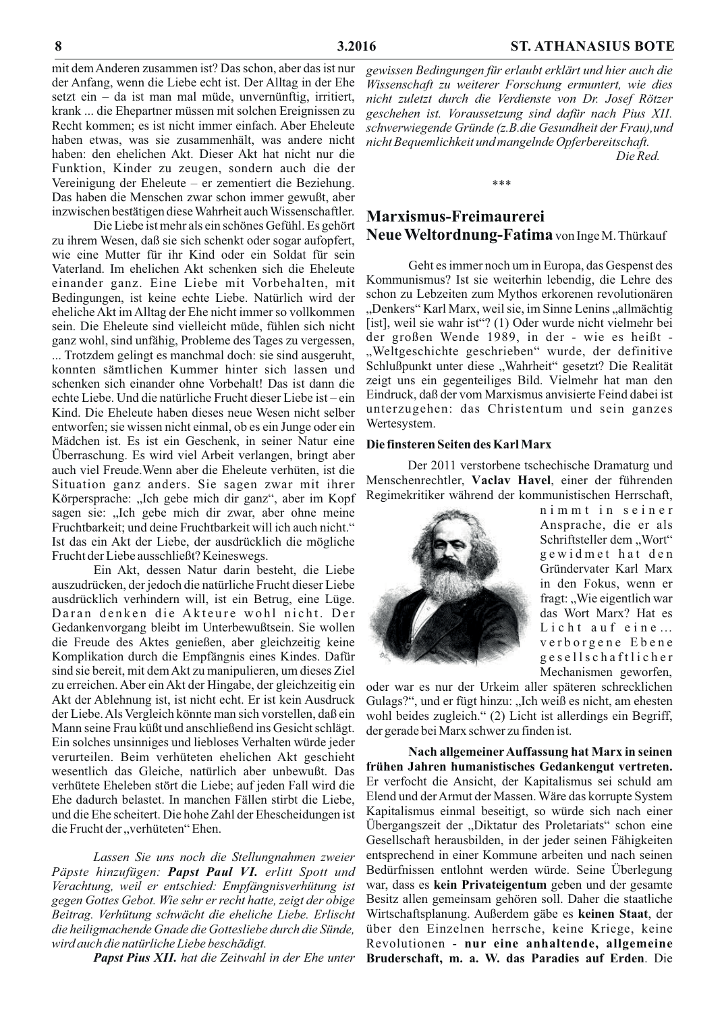mit dem Anderen zusammen ist? Das schon, aber das ist nur der Anfang, wenn die Liebe echt ist. Der Alltag in der Ehe setzt ein  $-$  da ist man mal müde, unvernünftig, irritiert, krank ... die Ehepartner müssen mit solchen Ereignissen zu Recht kommen; es ist nicht immer einfach. Aber Eheleute haben etwas, was sie zusammenhält, was andere nicht haben: den ehelichen Akt. Dieser Akt hat nicht nur die Funktion, Kinder zu zeugen, sondern auch die der Vereinigung der Eheleute – er zementiert die Beziehung. Das haben die Menschen zwar schon immer gewußt, aber inzwischen bestätigen diese Wahrheit auch Wissenschaftler.

Die Liebe ist mehr als ein schönes Gefühl. Es gehört zu ihrem Wesen, daß sie sich schenkt oder sogar aufopfert, wie eine Mutter für ihr Kind oder ein Soldat für sein Vaterland. Im ehelichen Akt schenken sich die Eheleute einander ganz. Eine Liebe mit Vorbehalten, mit Bedingungen, ist keine echte Liebe. Natürlich wird der eheliche Akt im Alltag der Ehe nicht immer so vollkommen sein. Die Eheleute sind vielleicht müde, fühlen sich nicht ganz wohl, sind unfähig, Probleme des Tages zu vergessen, ... Trotzdem gelingt es manchmal doch: sie sind ausgeruht, konnten sämtlichen Kummer hinter sich lassen und schenken sich einander ohne Vorbehalt! Das ist dann die echte Liebe. Und die natürliche Frucht dieser Liebe ist-ein Kind. Die Eheleute haben dieses neue Wesen nicht selber entworfen; sie wissen nicht einmal, ob es ein Junge oder ein Mädchen ist. Es ist ein Geschenk, in seiner Natur eine Überraschung. Es wird viel Arbeit verlangen, bringt aber auch viel Freude. Wenn aber die Eheleute verhüten, ist die Situation ganz anders. Sie sagen zwar mit ihrer Körpersprache: "Ich gebe mich dir ganz", aber im Kopf sagen sie: "Ich gebe mich dir zwar, aber ohne meine Fruchtbarkeit; und deine Fruchtbarkeit will ich auch nicht." Ist das ein Akt der Liebe, der ausdrücklich die mögliche Frucht der Liebe ausschließt? Keineswegs.

Ein Akt, dessen Natur darin besteht, die Liebe auszudrücken, der jedoch die natürliche Frucht dieser Liebe ausdrücklich verhindern will, ist ein Betrug, eine Lüge. Daran denken die Akteure wohl nicht. Der Gedankenvorgang bleibt im Unterbewußtsein. Sie wollen die Freude des Aktes genießen, aber gleichzeitig keine Komplikation durch die Empfängnis eines Kindes. Dafür sind sie bereit, mit dem Akt zu manipulieren, um dieses Ziel zu erreichen. Aber ein Akt der Hingabe, der gleichzeitig ein Akt der Ablehnung ist, ist nicht echt. Er ist kein Ausdruck der Liebe. Als Vergleich könnte man sich vorstellen, daß ein Mann seine Frau küßt und anschließend ins Gesicht schlägt. Ein solches unsinniges und liebloses Verhalten würde jeder verurteilen. Beim verhüteten ehelichen Akt geschieht wesentlich das Gleiche, natürlich aber unbewußt. Das verhütete Eheleben stört die Liebe; auf jeden Fall wird die Ehe dadurch belastet. In manchen Fällen stirbt die Liebe, und die Ehe scheitert. Die hohe Zahl der Ehescheidungen ist die Frucht der "verhüteten" Ehen.

Lassen Sie uns noch die Stellungnahmen zweier Päpste hinzufügen: Papst Paul VI. erlitt Spott und Verachtung, weil er entschied: Empfängnisverhütung ist gegen Gottes Gebot. Wie sehr er recht hatte, zeigt der obige Beitrag. Verhütung schwächt die eheliche Liebe. Erlischt die heiligmachende Gnade die Gottesliebe durch die Sünde, wird auch die natürliche Liebe beschädigt.

**Papst Pius XII.** hat die Zeitwahl in der Ehe unter

gewissen Bedingungen für erlaubt erklärt und hier auch die Wissenschaft zu weiterer Forschung ermuntert, wie dies nicht zuletzt durch die Verdienste von Dr. Josef Rötzer geschehen ist. Voraussetzung sind dafür nach Pius XII. schwerwiegende Gründe (z.B.die Gesundheit der Frau), und nicht Bequemlichkeit und mangelnde Opferbereitschaft. Die Red.

## Marxismus-Freimaurerei Neue Weltordnung-Fatima von Inge M. Thürkauf

Geht es immer noch um in Europa, das Gespenst des Kommunismus? Ist sie weiterhin lebendig, die Lehre des schon zu Lebzeiten zum Mythos erkorenen revolutionären "Denkers" Karl Marx, weil sie, im Sinne Lenins "allmächtig [ist], weil sie wahr ist"? (1) Oder wurde nicht vielmehr bei der großen Wende 1989, in der - wie es heißt -"Weltgeschichte geschrieben" wurde, der definitive Schlußpunkt unter diese "Wahrheit" gesetzt? Die Realität zeigt uns ein gegenteiliges Bild. Vielmehr hat man den Eindruck, daß der vom Marxismus anvisierte Feind dabei ist unterzugehen: das Christentum und sein ganzes Wertesystem.

#### Die finsteren Seiten des Karl Marx

Der 2011 verstorbene tschechische Dramaturg und Menschenrechtler, Vaclav Havel, einer der führenden Regimekritiker während der kommunistischen Herrschaft,



nimmt in seiner Ansprache, die er als Schriftsteller dem "Wort" gewidmet hat den Gründervater Karl Marx in den Fokus, wenn er fragt: "Wie eigentlich war das Wort Marx? Hat es Licht auf eine... verborgene Ebene gesellschaftlicher Mechanismen geworfen,

oder war es nur der Urkeim aller späteren schrecklichen Gulags?", und er fügt hinzu: "Ich weiß es nicht, am ehesten wohl beides zugleich." (2) Licht ist allerdings ein Begriff, der gerade bei Marx schwer zu finden ist.

Nach allgemeiner Auffassung hat Marx in seinen frühen Jahren humanistisches Gedankengut vertreten. Er verfocht die Ansicht, der Kapitalismus sei schuld am Elend und der Armut der Massen. Wäre das korrupte System Kapitalismus einmal beseitigt, so würde sich nach einer Übergangszeit der "Diktatur des Proletariats" schon eine Gesellschaft herausbilden, in der jeder seinen Fähigkeiten entsprechend in einer Kommune arbeiten und nach seinen Bedürfnissen entlohnt werden würde. Seine Überlegung war, dass es kein Privateigentum geben und der gesamte Besitz allen gemeinsam gehören soll. Daher die staatliche Wirtschaftsplanung. Außerdem gäbe es keinen Staat, der über den Einzelnen herrsche, keine Kriege, keine Revolutionen - nur eine anhaltende, allgemeine Bruderschaft, m. a. W. das Paradies auf Erden. Die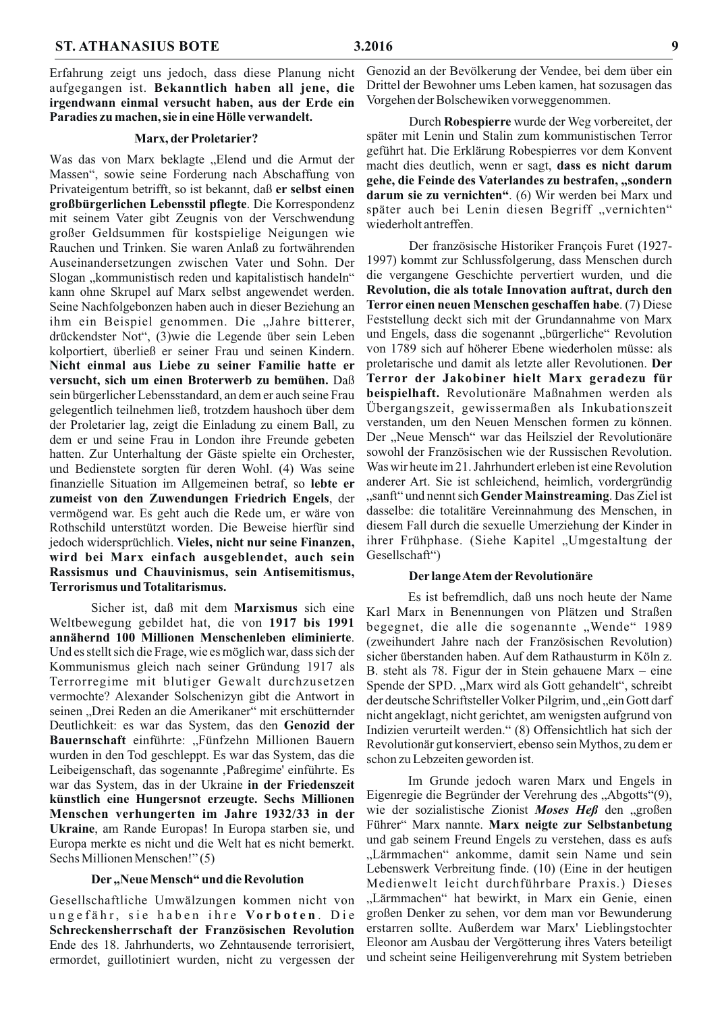Erfahrung zeigt uns jedoch, dass diese Planung nicht aufgegangen ist. Bekanntlich haben all jene, die irgendwann einmal versucht haben, aus der Erde ein Paradies zu machen, sie in eine Hölle verwandelt.

#### Marx, der Proletarier?

Was das von Marx beklagte "Elend und die Armut der Massen", sowie seine Forderung nach Abschaffung von Privateigentum betrifft, so ist bekannt, daß er selbst einen großbürgerlichen Lebensstil pflegte. Die Korrespondenz mit seinem Vater gibt Zeugnis von der Verschwendung großer Geldsummen für kostspielige Neigungen wie Rauchen und Trinken. Sie waren Anlaß zu fortwährenden Auseinandersetzungen zwischen Vater und Sohn. Der Slogan "kommunistisch reden und kapitalistisch handeln" kann ohne Skrupel auf Marx selbst angewendet werden. Seine Nachfolgebonzen haben auch in dieser Beziehung an ihm ein Beispiel genommen. Die "Jahre bitterer, drückendster Not", (3)wie die Legende über sein Leben kolportiert, überließ er seiner Frau und seinen Kindern. Nicht einmal aus Liebe zu seiner Familie hatte er versucht, sich um einen Broterwerb zu bemühen. Daß sein bürgerlicher Lebensstandard, an dem er auch seine Frau gelegentlich teilnehmen ließ, trotzdem haushoch über dem der Proletarier lag, zeigt die Einladung zu einem Ball, zu dem er und seine Frau in London ihre Freunde gebeten hatten. Zur Unterhaltung der Gäste spielte ein Orchester, und Bedienstete sorgten für deren Wohl. (4) Was seine finanzielle Situation im Allgemeinen betraf, so lebte er zumeist von den Zuwendungen Friedrich Engels, der vermögend war. Es geht auch die Rede um, er wäre von Rothschild unterstützt worden. Die Beweise hierfür sind jedoch widersprüchlich. Vieles, nicht nur seine Finanzen, wird bei Marx einfach ausgeblendet, auch sein Rassismus und Chauvinismus, sein Antisemitismus, **Terrorismus und Totalitarismus.** 

Sicher ist, daß mit dem Marxismus sich eine Weltbewegung gebildet hat, die von 1917 bis 1991 annähernd 100 Millionen Menschenleben eliminierte. Und es stellt sich die Frage, wie es möglich war, dass sich der Kommunismus gleich nach seiner Gründung 1917 als Terrorregime mit blutiger Gewalt durchzusetzen vermochte? Alexander Solschenizyn gibt die Antwort in seinen "Drei Reden an die Amerikaner" mit erschütternder Deutlichkeit: es war das System, das den Genozid der Bauernschaft einführte: "Fünfzehn Millionen Bauern wurden in den Tod geschleppt. Es war das System, das die Leibeigenschaft, das sogenannte ,Paßregime' einführte. Es war das System, das in der Ukraine in der Friedenszeit künstlich eine Hungersnot erzeugte. Sechs Millionen Menschen verhungerten im Jahre 1932/33 in der Ukraine, am Rande Europas! In Europa starben sie, und Europa merkte es nicht und die Welt hat es nicht bemerkt. Sechs Millionen Menschen!" (5)

## Der "Neue Mensch" und die Revolution

Gesellschaftliche Umwälzungen kommen nicht von ungefähr, sie haben ihre Vorboten. Die Schreckensherrschaft der Französischen Revolution Ende des 18. Jahrhunderts, wo Zehntausende terrorisiert, ermordet, guillotiniert wurden, nicht zu vergessen der Genozid an der Bevölkerung der Vendee, bei dem über ein Drittel der Bewohner ums Leben kamen, hat sozusagen das Vorgehen der Bolschewiken vorweggenommen.

Durch Robespierre wurde der Weg vorbereitet, der später mit Lenin und Stalin zum kommunistischen Terror geführt hat. Die Erklärung Robespierres vor dem Konvent macht dies deutlich, wenn er sagt, dass es nicht darum gehe, die Feinde des Vaterlandes zu bestrafen, "sondern **darum sie zu vernichten".** (6) Wir werden bei Marx und später auch bei Lenin diesen Begriff "vernichten" wiederholt antreffen.

Der französische Historiker François Furet (1927-1997) kommt zur Schlussfolgerung, dass Menschen durch die vergangene Geschichte pervertiert wurden, und die Revolution, die als totale Innovation auftrat, durch den Terror einen neuen Menschen geschaffen habe. (7) Diese Feststellung deckt sich mit der Grundannahme von Marx und Engels, dass die sogenannt "bürgerliche" Revolution von 1789 sich auf höherer Ebene wiederholen müsse: als proletarische und damit als letzte aller Revolutionen. Der Terror der Jakobiner hielt Marx geradezu für beispielhaft. Revolutionäre Maßnahmen werden als Übergangszeit, gewissermaßen als Inkubationszeit verstanden, um den Neuen Menschen formen zu können. Der "Neue Mensch" war das Heilsziel der Revolutionäre sowohl der Französischen wie der Russischen Revolution. Was wir heute im 21. Jahrhundert erleben ist eine Revolution anderer Art. Sie ist schleichend, heimlich, vordergründig "sanft" und nennt sich Gender Mainstreaming. Das Ziel ist dasselbe: die totalitäre Vereinnahmung des Menschen, in diesem Fall durch die sexuelle Umerziehung der Kinder in ihrer Frühphase. (Siehe Kapitel "Umgestaltung der Gesellschaft")

#### Der lange Atem der Revolutionäre

Es ist befremdlich, daß uns noch heute der Name Karl Marx in Benennungen von Plätzen und Straßen begegnet, die alle die sogenannte "Wende" 1989 (zweihundert Jahre nach der Französischen Revolution) sicher überstanden haben. Auf dem Rathausturm in Köln z. B. steht als 78. Figur der in Stein gehauene Marx – eine Spende der SPD. "Marx wird als Gott gehandelt", schreibt der deutsche Schriftsteller Volker Pilgrim, und "ein Gott darf nicht angeklagt, nicht gerichtet, am wenigsten aufgrund von Indizien verurteilt werden." (8) Offensichtlich hat sich der Revolutionär gut konserviert, ebenso sein Mythos, zu dem er schon zu Lebzeiten geworden ist.

Im Grunde jedoch waren Marx und Engels in Eigenregie die Begründer der Verehrung des "Abgotts"(9), wie der sozialistische Zionist Moses Heß den "großen Führer" Marx nannte. Marx neigte zur Selbstanbetung und gab seinem Freund Engels zu verstehen, dass es aufs "Lärmmachen" ankomme, damit sein Name und sein Lebenswerk Verbreitung finde. (10) (Eine in der heutigen Medienwelt leicht durchführbare Praxis.) Dieses "Lärmmachen" hat bewirkt, in Marx ein Genie, einen großen Denker zu sehen, vor dem man vor Bewunderung erstarren sollte. Außerdem war Marx' Lieblingstochter Eleonor am Ausbau der Vergötterung ihres Vaters beteiligt und scheint seine Heiligenverehrung mit System betrieben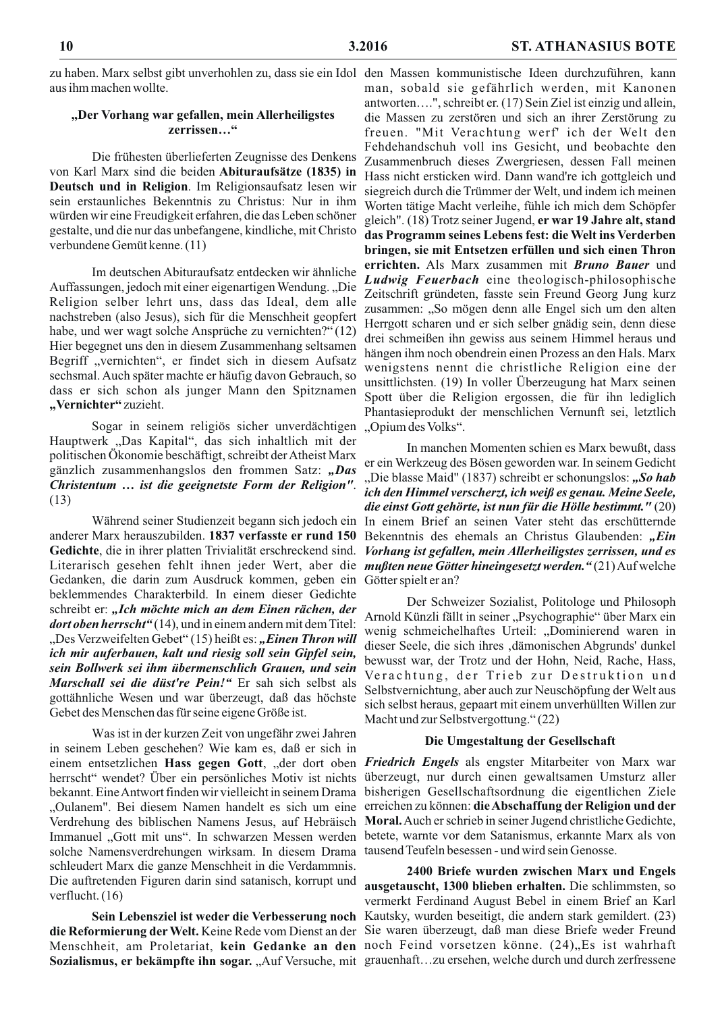aus ihm machen wollte.

## "Der Vorhang war gefallen, mein Allerheiligstes zerrissen..."

Die frühesten überlieferten Zeugnisse des Denkens von Karl Marx sind die beiden Abituraufsätze (1835) in Deutsch und in Religion. Im Religionsaufsatz lesen wir sein erstaunliches Bekenntnis zu Christus: Nur in ihm würden wir eine Freudigkeit erfahren, die das Leben schöner gestalte, und die nur das unbefangene, kindliche, mit Christo verbundene Gemütkenne. (11)

Im deutschen Abituraufsatz entdecken wir ähnliche Auffassungen, jedoch mit einer eigenartigen Wendung., "Die Religion selber lehrt uns, dass das Ideal, dem alle nachstreben (also Jesus), sich für die Menschheit geopfert habe, und wer wagt solche Ansprüche zu vernichten?" (12) Hier begegnet uns den in diesem Zusammenhang seltsamen Begriff "vernichten", er findet sich in diesem Aufsatz sechsmal. Auch später machte er häufig davon Gebrauch, so dass er sich schon als junger Mann den Spitznamen "Vernichter" zuzieht.

Sogar in seinem religiös sicher unverdächtigen Hauptwerk "Das Kapital", das sich inhaltlich mit der politischen Ökonomie beschäftigt, schreibt der Atheist Marx gänzlich zusammenhangslos den frommen Satz: "Das Christentum ... ist die geeignetste Form der Religion".  $(13)$ 

anderer Marx herauszubilden. 1837 verfasste er rund 150 Gedichte, die in ihrer platten Trivialität erschreckend sind. Gedanken, die darin zum Ausdruck kommen, geben ein beklemmendes Charakterbild. In einem dieser Gedichte schreibt er: "Ich möchte mich an dem Einen rächen, der *dort oben herrscht*" (14), und in einem andern mit dem Titel: "Des Verzweifelten Gebet" (15) heißt es: "Einen Thron will ich mir auferbauen, kalt und riesig soll sein Gipfel sein, sein Bollwerk sei ihm übermenschlich Grauen, und sein Marschall sei die düst're Pein!" Er sah sich selbst als gottähnliche Wesen und war überzeugt, daß das höchste Gebet des Menschen das für seine eigene Größe ist.

Was ist in der kurzen Zeit von ungefähr zwei Jahren in seinem Leben geschehen? Wie kam es, daß er sich in solche Namensverdrehungen wirksam. In diesem Drama tausend Teufeln besessen - und wird sein Genosse. schleudert Marx die ganze Menschheit in die Verdammnis. Die auftretenden Figuren darin sind satanisch, korrupt und verflucht. $(16)$ 

Sozialismus, er bekämpfte ihn sogar. "Auf Versuche, mit grauenhaft...zu ersehen, welche durch und durch zerfressene

zu haben. Marx selbst gibt unverhohlen zu, dass sie ein Idol den Massen kommunistische Ideen durchzuführen, kann man, sobald sie gefährlich werden, mit Kanonen antworten....", schreibt er. (17) Sein Ziel ist einzig und allein, die Massen zu zerstören und sich an ihrer Zerstörung zu freuen. "Mit Verachtung werf' ich der Welt den Fehdehandschuh voll ins Gesicht, und beobachte den Zusammenbruch dieses Zwergriesen, dessen Fall meinen Hass nicht ersticken wird. Dann wand're ich gottgleich und siegreich durch die Trümmer der Welt, und indem ich meinen Worten tätige Macht verleihe, fühle ich mich dem Schöpfer gleich". (18) Trotz seiner Jugend, er war 19 Jahre alt, stand das Programm seines Lebens fest: die Welt ins Verderben bringen, sie mit Entsetzen erfüllen und sich einen Thron errichten. Als Marx zusammen mit Bruno Bauer und Ludwig Feuerbach eine theologisch-philosophische Zeitschrift gründeten, fasste sein Freund Georg Jung kurz zusammen: "So mögen denn alle Engel sich um den alten Herrgott scharen und er sich selber gnädig sein, denn diese drei schmeißen ihn gewiss aus seinem Himmel heraus und hängen ihm noch obendrein einen Prozess an den Hals. Marx wenigstens nennt die christliche Religion eine der unsittlichsten. (19) In voller Überzeugung hat Marx seinen Spott über die Religion ergossen, die für ihn lediglich Phantasieprodukt der menschlichen Vernunft sei, letztlich "Opium des Volks".

In manchen Momenten schien es Marx bewußt, dass er ein Werkzeug des Bösen geworden war. In seinem Gedicht "Die blasse Maid" (1837) schreibt er schonungslos: "So hab ich den Himmel verscherzt, ich weiß es genau. Meine Seele, die einst Gott gehörte, ist nun für die Hölle bestimmt." (20) Während seiner Studienzeit begann sich jedoch ein In einem Brief an seinen Vater steht das erschütternde Bekenntnis des ehemals an Christus Glaubenden: "Ein Vorhang ist gefallen, mein Allerheiligstes zerrissen, und es Literarisch gesehen fehlt ihnen jeder Wert, aber die *mußten neue Götter hineingesetzt werden*."(21) Auf welche Götter spielt er an?

> Der Schweizer Sozialist, Politologe und Philosoph Arnold Künzli fällt in seiner "Psychographie" über Marx ein wenig schmeichelhaftes Urteil: "Dominierend waren in dieser Seele, die sich ihres ,dämonischen Abgrunds' dunkel bewusst war, der Trotz und der Hohn, Neid, Rache, Hass, Verachtung, der Trieb zur Destruktion und Selbstvernichtung, aber auch zur Neuschöpfung der Welt aus sich selbst heraus, gepaart mit einem unverhüllten Willen zur Macht und zur Selbstvergottung." (22)

#### Die Umgestaltung der Gesellschaft

einem entsetzlichen Hass gegen Gott, "der dort oben Friedrich Engels als engster Mitarbeiter von Marx war herrscht" wendet? Über ein persönliches Motiv ist nichts überzeugt, nur durch einen gewaltsamen Umsturz aller bekannt. Eine Antwort finden wir vielleicht in seinem Drama bisherigen Gesellschaftsordnung die eigentlichen Ziele "Oulanem". Bei diesem Namen handelt es sich um eine erreichen zu können: die Abschaffung der Religion und der Verdrehung des biblischen Namens Jesus, auf Hebräisch Moral. Auch er schrieb in seiner Jugend christliche Gedichte, Immanuel "Gott mit uns". In schwarzen Messen werden betete, warnte vor dem Satanismus, erkannte Marx als von

2400 Briefe wurden zwischen Marx und Engels ausgetauscht, 1300 blieben erhalten. Die schlimmsten, so vermerkt Ferdinand August Bebel in einem Brief an Karl Sein Lebensziel ist weder die Verbesserung noch Kautsky, wurden beseitigt, die andern stark gemildert. (23) die Reformierung der Welt. Keine Rede vom Dienst an der Sie waren überzeugt, daß man diese Briefe weder Freund Menschheit, am Proletariat, kein Gedanke an den noch Feind vorsetzen könne. (24), Es ist wahrhaft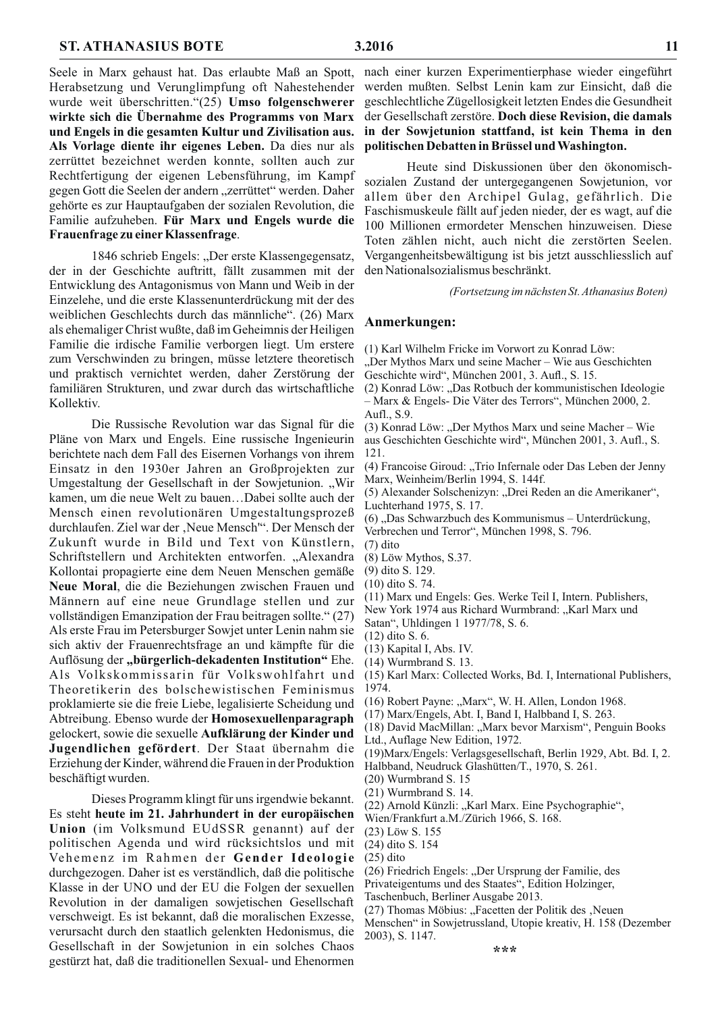Seele in Marx gehaust hat. Das erlaubte Maß an Spott, Herabsetzung und Verunglimpfung oft Nahestehender wurde weit überschritten."(25) Umso folgenschwerer wirkte sich die Übernahme des Programms von Marx und Engels in die gesamten Kultur und Zivilisation aus. Als Vorlage diente ihr eigenes Leben. Da dies nur als zerrüttet bezeichnet werden konnte, sollten auch zur Rechtfertigung der eigenen Lebensführung, im Kampf gegen Gott die Seelen der andern "zerrüttet" werden. Daher gehörte es zur Hauptaufgaben der sozialen Revolution, die Familie aufzuheben. Für Marx und Engels wurde die Frauenfrage zu einer Klassenfrage.

1846 schrieb Engels: "Der erste Klassengegensatz, der in der Geschichte auftritt, fällt zusammen mit der Entwicklung des Antagonismus von Mann und Weib in der Einzelehe, und die erste Klassenunterdrückung mit der des weiblichen Geschlechts durch das männliche". (26) Marx als ehemaliger Christ wußte, daß im Geheimnis der Heiligen Familie die irdische Familie verborgen liegt. Um erstere zum Verschwinden zu bringen, müsse letztere theoretisch und praktisch vernichtet werden, daher Zerstörung der familiären Strukturen, und zwar durch das wirtschaftliche Kollektiv.

Die Russische Revolution war das Signal für die Pläne von Marx und Engels. Eine russische Ingenieurin berichtete nach dem Fall des Eisernen Vorhangs von ihrem Einsatz in den 1930er Jahren an Großprojekten zur Umgestaltung der Gesellschaft in der Sowjetunion. "Wir kamen, um die neue Welt zu bauen...Dabei sollte auch der Mensch einen revolutionären Umgestaltungsprozeß durchlaufen. Ziel war der "Neue Mensch". Der Mensch der Zukunft wurde in Bild und Text von Künstlern, Schriftstellern und Architekten entworfen. "Alexandra Kollontai propagierte eine dem Neuen Menschen gemäße Neue Moral, die die Beziehungen zwischen Frauen und Männern auf eine neue Grundlage stellen und zur vollständigen Emanzipation der Frau beitragen sollte." (27) Als erste Frau im Petersburger Sowjet unter Lenin nahm sie sich aktiv der Frauenrechtsfrage an und kämpfte für die Auflösung der "bürgerlich-dekadenten Institution" Ehe. Als Volkskommissarin für Volkswohlfahrt und Theoretikerin des bolschewistischen Feminismus proklamierte sie die freie Liebe, legalisierte Scheidung und Abtreibung. Ebenso wurde der Homosexuellenparagraph gelockert, sowie die sexuelle Aufklärung der Kinder und Jugendlichen gefördert. Der Staat übernahm die Erziehung der Kinder, während die Frauen in der Produktion beschäftigt wurden.

Dieses Programm klingt für uns irgendwie bekannt. Es steht heute im 21. Jahrhundert in der europäischen Union (im Volksmund EUdSSR genannt) auf der politischen Agenda und wird rücksichtslos und mit Vehemenz im Rahmen der Gender Ideologie durchgezogen. Daher ist es verständlich, daß die politische Klasse in der UNO und der EU die Folgen der sexuellen Revolution in der damaligen sowjetischen Gesellschaft verschweigt. Es ist bekannt, daß die moralischen Exzesse, verursacht durch den staatlich gelenkten Hedonismus, die Gesellschaft in der Sowjetunion in ein solches Chaos gestürzt hat, daß die traditionellen Sexual- und Ehenormen

Heute sind Diskussionen über den ökonomischsozialen Zustand der untergegangenen Sowjetunion, vor allem über den Archipel Gulag, gefährlich. Die Faschismuskeule fällt auf jeden nieder, der es wagt, auf die 100 Millionen ermordeter Menschen hinzuweisen. Diese Toten zählen nicht, auch nicht die zerstörten Seelen. Vergangenheitsbewältigung ist bis jetzt ausschliesslich auf den Nationalsozialismus beschränkt.

(Fortsetzung im nächsten St. Athanasius Boten)

#### Anmerkungen:

- (1) Karl Wilhelm Fricke im Vorwort zu Konrad Löw:
- "Der Mythos Marx und seine Macher Wie aus Geschichten Geschichte wird", München 2001, 3. Aufl., S. 15.
- (2) Konrad Löw: "Das Rotbuch der kommunistischen Ideologie - Marx & Engels- Die Väter des Terrors", München 2000, 2. Aufl., S.9.
- (3) Konrad Löw: "Der Mythos Marx und seine Macher Wie aus Geschichten Geschichte wird", München 2001, 3. Aufl., S. 121.
- (4) Francoise Giroud: "Trio Infernale oder Das Leben der Jenny Marx, Weinheim/Berlin 1994, S. 144f.
- (5) Alexander Solschenizyn: "Drei Reden an die Amerikaner", Luchterhand 1975, S. 17.
- (6), Das Schwarzbuch des Kommunismus Unterdrückung, Verbrechen und Terror", München 1998, S. 796.
- $(7)$  dito
- (8) Löw Mythos, S.37.
- (9) dito S. 129.
- (10) dito S. 74.
- (11) Marx und Engels: Ges. Werke Teil I, Intern. Publishers,
- New York 1974 aus Richard Wurmbrand: "Karl Marx und
- Satan", Uhldingen 1 1977/78, S. 6.
- $(12)$  dito S. 6.
- (13) Kapital I, Abs. IV.
- $(14)$  Wurmbrand S. 13.
- (15) Karl Marx: Collected Works, Bd. I, International Publishers, 1974.
- (16) Robert Payne: "Marx", W. H. Allen, London 1968.
- (17) Marx/Engels, Abt. I, Band I, Halbband I, S. 263.
- (18) David MacMillan: "Marx bevor Marxism", Penguin Books Ltd., Auflage New Edition, 1972.
- (19) Marx/Engels: Verlagsgesellschaft, Berlin 1929, Abt. Bd. I, 2.
- Halbband, Neudruck Glashütten/T., 1970, S. 261.
- $(20)$  Wurmbrand S. 15
- $(21)$  Wurmbrand S. 14.
- (22) Arnold Künzli: "Karl Marx. Eine Psychographie",
- Wien/Frankfurt a.M./Zürich 1966, S. 168.
- (23) Löw S. 155
- (24) dito S. 154
- $(25)$  dito
- (26) Friedrich Engels: "Der Ursprung der Familie, des

Privateigentums und des Staates", Edition Holzinger,

Taschenbuch, Berliner Ausgabe 2013.

(27) Thomas Möbius: "Facetten der Politik des "Neuen Menschen" in Sowjetrussland, Utopie kreativ, H. 158 (Dezember 2003), S. 1147.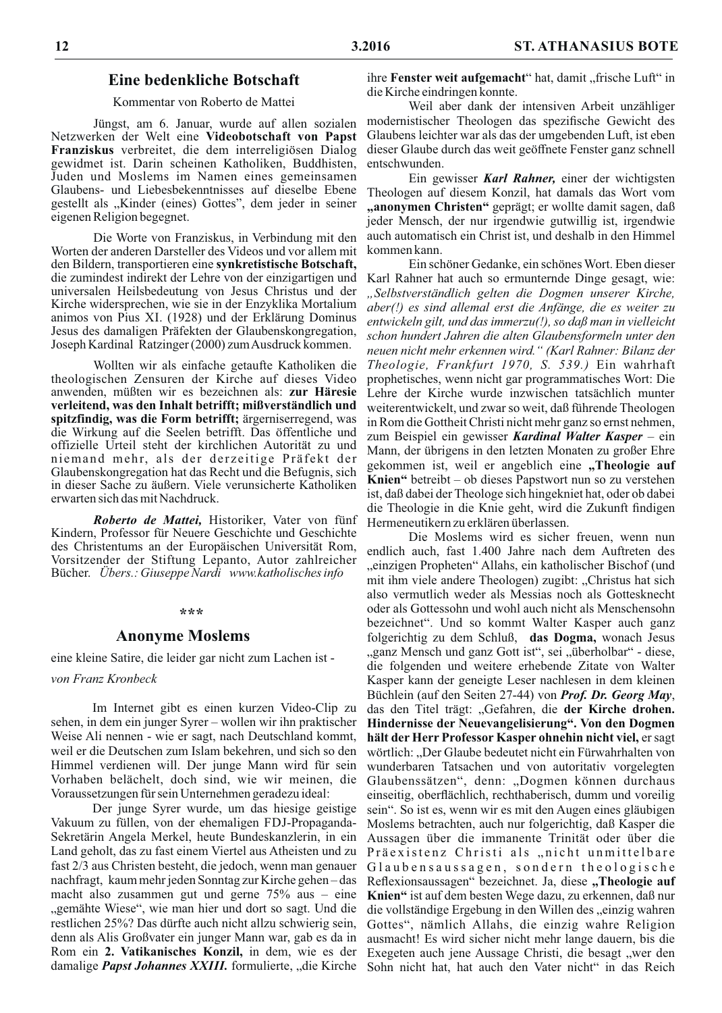## **Eine bedenkliche Botschaft**

Kommentar von Roberto de Mattei

Jüngst, am 6. Januar, wurde auf allen sozialen Netzwerken der Welt eine Videobotschaft von Papst Franziskus verbreitet, die dem interreligiösen Dialog gewidmet ist. Darin scheinen Katholiken, Buddhisten, Juden und Moslems im Namen eines gemeinsamen Glaubens- und Liebesbekenntnisses auf dieselbe Ebene gestellt als "Kinder (eines) Gottes", dem jeder in seiner eigenen Religion begegnet.

Die Worte von Franziskus, in Verbindung mit den Worten der anderen Darsteller des Videos und vor allem mit den Bildern, transportieren eine synkretistische Botschaft, die zumindest indirekt der Lehre von der einzigartigen und universalen Heilsbedeutung von Jesus Christus und der Kirche widersprechen, wie sie in der Enzyklika Mortalium animos von Pius XI. (1928) und der Erklärung Dominus Jesus des damaligen Präfekten der Glaubenskongregation, Joseph Kardinal Ratzinger (2000) zum Ausdruck kommen.

Wollten wir als einfache getaufte Katholiken die theologischen Zensuren der Kirche auf dieses Video anwenden, müßten wir es bezeichnen als: zur Häresie verleitend, was den Inhalt betrifft; mißverständlich und spitzfindig, was die Form betrifft; ärgerniserregend, was die Wirkung auf die Seelen betrifft. Das öffentliche und offizielle Urteil steht der kirchlichen Autorität zu und niemand mehr, als der derzeitige Präfekt der Glaubenskongregation hat das Recht und die Befugnis, sich in dieser Sache zu äußern. Viele verunsicherte Katholiken erwarten sich das mit Nachdruck.

Roberto de Mattei, Historiker, Vater von fünf Kindern, Professor für Neuere Geschichte und Geschichte des Christentums an der Europäischen Universität Rom, Vorsitzender der Stiftung Lepanto, Autor zahlreicher Bücher. Ubers.: Giuseppe Nardi www.katholisches info

#### \*\*\*

### **Anonyme Moslems**

eine kleine Satire, die leider gar nicht zum Lachen ist -

von Franz Kronbeck

Im Internet gibt es einen kurzen Video-Clip zu sehen, in dem ein junger Syrer – wollen wir ihn praktischer Weise Ali nennen - wie er sagt, nach Deutschland kommt, weil er die Deutschen zum Islam bekehren, und sich so den Himmel verdienen will. Der junge Mann wird für sein Vorhaben belächelt, doch sind, wie wir meinen, die Voraussetzungen für sein Unternehmen geradezu ideal:

Der junge Syrer wurde, um das hiesige geistige Vakuum zu füllen, von der ehemaligen FDJ-Propaganda-Sekretärin Angela Merkel, heute Bundeskanzlerin, in ein Land geholt, das zu fast einem Viertel aus Atheisten und zu fast 2/3 aus Christen besteht, die jedoch, wenn man genauer nachfragt, kaum mehr jeden Sonntag zur Kirche gehen-das macht also zusammen gut und gerne  $75\%$  aus – eine "gemähte Wiese", wie man hier und dort so sagt. Und die restlichen 25%? Das dürfte auch nicht allzu schwierig sein, denn als Alis Großvater ein junger Mann war, gab es da in Rom ein 2. Vatikanisches Konzil, in dem, wie es der damalige *Papst Johannes XXIII*. formulierte, "die Kirche

ihre Fenster weit aufgemacht" hat, damit "frische Luft" in die Kirche eindringen konnte.

Weil aber dank der intensiven Arbeit unzähliger modernistischer Theologen das spezifische Gewicht des Glaubens leichter war als das der umgebenden Luft, ist eben dieser Glaube durch das weit geöffnete Fenster ganz schnell entschwunden.

Ein gewisser Karl Rahner, einer der wichtigsten Theologen auf diesem Konzil, hat damals das Wort vom "anonymen Christen" geprägt; er wollte damit sagen, daß jeder Mensch, der nur irgendwie gutwillig ist, irgendwie auch automatisch ein Christ ist, und deshalb in den Himmel kommen kann.

Ein schöner Gedanke, ein schönes Wort. Eben dieser Karl Rahner hat auch so ermunternde Dinge gesagt, wie: "Selbstverständlich gelten die Dogmen unserer Kirche, aber(!) es sind allemal erst die Anfänge, die es weiter zu entwickeln gilt, und das immerzu $(!)$ , so daß man in vielleicht schon hundert Jahren die alten Glaubensformeln unter den neuen nicht mehr erkennen wird." (Karl Rahner: Bilanz der Theologie, Frankfurt 1970, S. 539.) Ein wahrhaft prophetisches, wenn nicht gar programmatisches Wort: Die Lehre der Kirche wurde inzwischen tatsächlich munter weiterentwickelt, und zwar so weit, daß führende Theologen in Rom die Gottheit Christi nicht mehr ganz so ernst nehmen, zum Beispiel ein gewisser Kardinal Walter Kasper - ein Mann, der übrigens in den letzten Monaten zu großer Ehre gekommen ist, weil er angeblich eine "Theologie auf Knien" betreibt – ob dieses Papstwort nun so zu verstehen ist, daß dabei der Theologe sich hingekniet hat, oder ob dabei die Theologie in die Knie geht, wird die Zukunft findigen Hermeneutikern zu erklären überlassen.

Die Moslems wird es sicher freuen, wenn nun endlich auch, fast 1.400 Jahre nach dem Auftreten des "einzigen Propheten" Allahs, ein katholischer Bischof (und mit ihm viele andere Theologen) zugibt: "Christus hat sich also vermutlich weder als Messias noch als Gottesknecht oder als Gottessohn und wohl auch nicht als Menschensohn bezeichnet". Und so kommt Walter Kasper auch ganz folgerichtig zu dem Schluß, das Dogma, wonach Jesus "ganz Mensch und ganz Gott ist", sei "überholbar" - diese, die folgenden und weitere erhebende Zitate von Walter Kasper kann der geneigte Leser nachlesen in dem kleinen Büchlein (auf den Seiten 27-44) von Prof. Dr. Georg May, das den Titel trägt: "Gefahren, die der Kirche drohen. Hindernisse der Neuevangelisierung". Von den Dogmen hält der Herr Professor Kasper ohnehin nicht viel, er sagt wörtlich: "Der Glaube bedeutet nicht ein Fürwahrhalten von wunderbaren Tatsachen und von autoritativ vorgelegten Glaubenssätzen", denn: "Dogmen können durchaus einseitig, oberflächlich, rechthaberisch, dumm und voreilig sein". So ist es, wenn wir es mit den Augen eines gläubigen Moslems betrachten, auch nur folgerichtig, daß Kasper die Aussagen über die immanente Trinität oder über die Präexistenz Christi als "nicht unmittelbare Glaubensaussagen, sondern theologische Reflexionsaussagen" bezeichnet. Ja, diese "Theologie auf Knien" ist auf dem besten Wege dazu, zu erkennen, daß nur die vollständige Ergebung in den Willen des "einzig wahren Gottes", nämlich Allahs, die einzig wahre Religion ausmacht! Es wird sicher nicht mehr lange dauern, bis die Exegeten auch jene Aussage Christi, die besagt "wer den Sohn nicht hat, hat auch den Vater nicht" in das Reich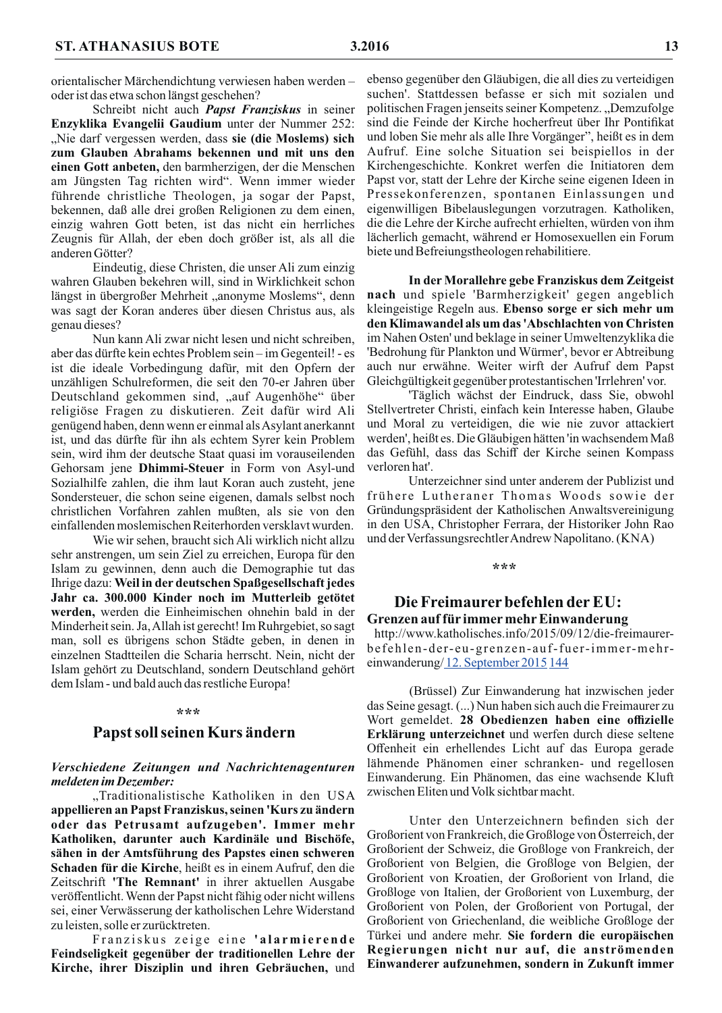orientalischer Märchendichtung verwiesen haben werdenoder ist das etwa schon längst geschehen?

Schreibt nicht auch Papst Franziskus in seiner Enzyklika Evangelii Gaudium unter der Nummer 252: "Nie darf vergessen werden, dass sie (die Moslems) sich zum Glauben Abrahams bekennen und mit uns den einen Gott anbeten, den barmherzigen, der die Menschen am Jüngsten Tag richten wird". Wenn immer wieder führende christliche Theologen, ja sogar der Papst, bekennen, daß alle drei großen Religionen zu dem einen, einzig wahren Gott beten, ist das nicht ein herrliches Zeugnis für Allah, der eben doch größer ist, als all die anderen Götter?

Eindeutig, diese Christen, die unser Ali zum einzig wahren Glauben bekehren will, sind in Wirklichkeit schon längst in übergroßer Mehrheit "anonyme Moslems", denn was sagt der Koran anderes über diesen Christus aus, als genau dieses?

Nun kann Ali zwar nicht lesen und nicht schreiben. aber das dürfte kein echtes Problem sein – im Gegenteil! - es ist die ideale Vorbedingung dafür, mit den Opfern der unzähligen Schulreformen, die seit den 70-er Jahren über Deutschland gekommen sind, "auf Augenhöhe" über religiöse Fragen zu diskutieren. Zeit dafür wird Ali genügend haben, denn wenn er einmal als Asylant anerkannt ist, und das dürfte für ihn als echtem Syrer kein Problem sein, wird ihm der deutsche Staat quasi im vorauseilenden Gehorsam jene Dhimmi-Steuer in Form von Asyl-und Sozialhilfe zahlen, die ihm laut Koran auch zusteht, jene Sondersteuer, die schon seine eigenen, damals selbst noch christlichen Vorfahren zahlen mußten, als sie von den einfallenden moslemischen Reiterhorden versklavt wurden.

Wie wir sehen, braucht sich Ali wirklich nicht allzu sehr anstrengen, um sein Ziel zu erreichen, Europa für den Islam zu gewinnen, denn auch die Demographie tut das Ihrige dazu: Weil in der deutschen Spaßgesellschaft jedes Jahr ca. 300.000 Kinder noch im Mutterleib getötet werden, werden die Einheimischen ohnehin bald in der Minderheit sein. Ja, Allah ist gerecht! Im Ruhrgebiet, so sagt man, soll es übrigens schon Städte geben, in denen in einzelnen Stadtteilen die Scharia herrscht. Nein, nicht der Islam gehört zu Deutschland, sondern Deutschland gehört dem Islam - und bald auch das restliche Europa!

#### \*\*\*

## Papst soll seinen Kurs ändern

#### Verschiedene Zeitungen und Nachrichtenagenturen meldeten im Dezember:

"Traditionalistische Katholiken in den USA appellieren an Papst Franziskus, seinen 'Kurs zu ändern oder das Petrusamt aufzugeben'. Immer mehr Katholiken, darunter auch Kardinäle und Bischöfe, sähen in der Amtsführung des Papstes einen schweren Schaden für die Kirche, heißt es in einem Aufruf, den die Zeitschrift 'The Remnant' in ihrer aktuellen Ausgabe veröffentlicht. Wenn der Papst nicht fähig oder nicht willens sei, einer Verwässerung der katholischen Lehre Widerstand zu leisten, solle er zurücktreten.

Franziskus zeige eine 'alarmierende Feindseligkeit gegenüber der traditionellen Lehre der Kirche, ihrer Disziplin und ihren Gebräuchen, und

ebenso gegenüber den Gläubigen, die all dies zu verteidigen suchen'. Stattdessen befasse er sich mit sozialen und politischen Fragen jenseits seiner Kompetenz., Demzufolge sind die Feinde der Kirche hocherfreut über Ihr Pontifikat und loben Sie mehr als alle Ihre Vorgänger", heißt es in dem Aufruf. Eine solche Situation sei beispiellos in der Kirchengeschichte. Konkret werfen die Initiatoren dem Papst vor, statt der Lehre der Kirche seine eigenen Ideen in Pressekonferenzen, spontanen Einlassungen und eigenwilligen Bibelauslegungen vorzutragen. Katholiken, die die Lehre der Kirche aufrecht erhielten, würden von ihm lächerlich gemacht, während er Homosexuellen ein Forum biete und Befreiungstheologen rehabilitiere.

In der Morallehre gebe Franziskus dem Zeitgeist nach und spiele 'Barmherzigkeit' gegen angeblich kleingeistige Regeln aus. Ebenso sorge er sich mehr um den Klimawandel als um das 'Abschlachten von Christen im Nahen Osten' und beklage in seiner Umweltenzyklika die 'Bedrohung für Plankton und Würmer', bevor er Abtreibung auch nur erwähne. Weiter wirft der Aufruf dem Papst Gleichgültigkeit gegenüber protestantischen 'Irrlehren' vor.

'Täglich wächst der Eindruck, dass Sie, obwohl Stellvertreter Christi, einfach kein Interesse haben, Glaube und Moral zu verteidigen, die wie nie zuvor attackiert werden', heißt es. Die Gläubigen hätten 'in wachsendem Maß das Gefühl, dass das Schiff der Kirche seinen Kompass verloren hat'.

Unterzeichner sind unter anderem der Publizist und frühere Lutheraner Thomas Woods sowie der Gründungspräsident der Katholischen Anwaltsvereinigung in den USA, Christopher Ferrara, der Historiker John Rao und der Verfassungsrechtler Andrew Napolitano. (KNA)

#### \*\*\*

## Die Freimaurer befehlen der EU: Grenzen auf für immer mehr Einwanderung

http://www.katholisches.info/2015/09/12/die-freimaurerbefehlen-der-eu-grenzen-auf-fuer-immer-mehreinwanderung/12. September 2015 144

(Brüssel) Zur Einwanderung hat inzwischen jeder das Seine gesagt. (...) Nun haben sich auch die Freimaurer zu Wort gemeldet. 28 Obedienzen haben eine offizielle Erklärung unterzeichnet und werfen durch diese seltene Offenheit ein erhellendes Licht auf das Europa gerade lähmende Phänomen einer schranken- und regellosen Einwanderung. Ein Phänomen, das eine wachsende Kluft zwischen Eliten und Volk sichtbar macht.

Unter den Unterzeichnern befinden sich der Großorient von Frankreich, die Großloge von Österreich, der Großorient der Schweiz, die Großloge von Frankreich, der Großorient von Belgien, die Großloge von Belgien, der Großorient von Kroatien, der Großorient von Irland, die Großloge von Italien, der Großorient von Luxemburg, der Großorient von Polen, der Großorient von Portugal, der Großorient von Griechenland, die weibliche Großloge der Türkei und andere mehr. Sie fordern die europäischen Regierungen nicht nur auf, die anströmenden Einwanderer aufzunehmen, sondern in Zukunft immer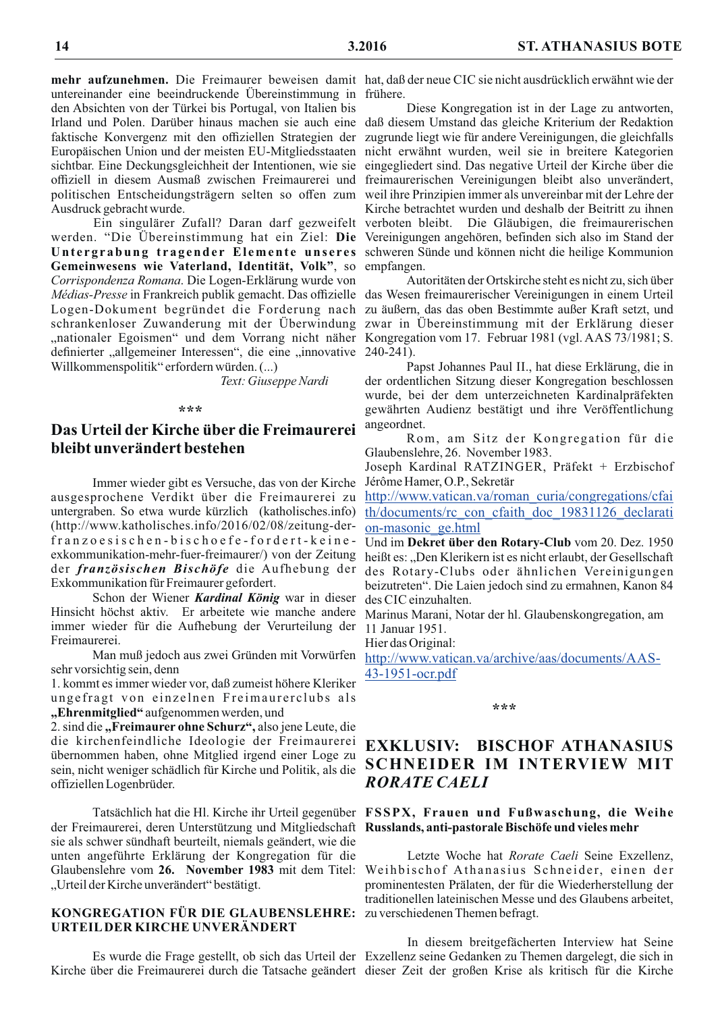mehr aufzunehmen. Die Freimaurer beweisen damit hat, daß der neue CIC sie nicht ausdrücklich erwähnt wie der untereinander eine beeindruckende Übereinstimmung in frühere. den Absichten von der Türkei bis Portugal, von Italien bis Ausdruck gebracht wurde.

werden. "Die Übereinstimmung hat ein Ziel: Die Untergrabung tragender Elemente unseres Gemeinwesens wie Vaterland, Identität, Volk", so Corrispondenza Romana. Die Logen-Erklärung wurde von definierter "allgemeiner Interessen", die eine "innovative 240-241). Willkommenspolitik" erfordern würden. (...)

Text: Giuseppe Nardi

#### \*\*\*

## Das Urteil der Kirche über die Freimaurerei bleibt unverändert bestehen

Immer wieder gibt es Versuche, das von der Kirche ausgesprochene Verdikt über die Freimaurerei zu untergraben. So etwa wurde kürzlich (katholisches.info) (http://www.katholisches.info/2016/02/08/zeitung-derfranzoesischen-bischoefe-fordert-keineder französischen Bischöfe die Aufhebung der Exkommunikation für Freimaurer gefordert.

Schon der Wiener Kardinal König war in dieser Hinsicht höchst aktiv. Er arbeitete wie manche andere immer wieder für die Aufhebung der Verurteilung der Freimaurerei.

Man muß jedoch aus zwei Gründen mit Vorwürfen sehr vorsichtig sein, denn

1. kommt es immer wieder vor, daß zumeist höhere Kleriker ungefragt von einzelnen Freimaurerclubs als "Ehrenmitglied" aufgenommen werden, und

2. sind die "Freimaurer ohne Schurz", also jene Leute, die die kirchenfeindliche Ideologie der Freimaurerei übernommen haben, ohne Mitglied irgend einer Loge zu sein, nicht weniger schädlich für Kirche und Politik, als die offiziellen Logenbrüder.

der Freimaurerei, deren Unterstützung und Mitgliedschaft Russlands, anti-pastorale Bischöfe und vieles mehr sie als schwer sündhaft beurteilt, niemals geändert, wie die unten angeführte Erklärung der Kongregation für die "Urteil der Kirche unverändert" bestätigt.

## KONGREGATION FÜR DIE GLAUBENSLEHRE: zu verschiedenen Themen befragt. URTEILDER KIRCHE UNVERÄNDERT

Diese Kongregation ist in der Lage zu antworten, Irland und Polen. Darüber hinaus machen sie auch eine daß diesem Umstand das gleiche Kriterium der Redaktion faktische Konvergenz mit den offiziellen Strategien der zugrunde liegt wie für andere Vereinigungen, die gleichfalls Europäischen Union und der meisten EU-Mitgliedsstaaten nicht erwähnt wurden, weil sie in breitere Kategorien sichtbar. Eine Deckungsgleichheit der Intentionen, wie sie eingegliedert sind. Das negative Urteil der Kirche über die offiziell in diesem Ausmaß zwischen Freimaurerei und freimaurerischen Vereinigungen bleibt also unverändert, politischen Entscheidungsträgern selten so offen zum weil ihre Prinzipien immer als unvereinbar mit der Lehre der Kirche betrachtet wurden und deshalb der Beitritt zu ihnen Ein singulärer Zufall? Daran darf gezweifelt verboten bleibt. Die Gläubigen, die freimaurerischen Vereinigungen angehören, befinden sich also im Stand der schweren Sünde und können nicht die heilige Kommunion empfangen.

Autoritäten der Ortskirche steht es nicht zu, sich über Médias-Presse in Frankreich publik gemacht. Das offizielle das Wesen freimaurerischer Vereinigungen in einem Urteil Logen-Dokument begründet die Forderung nach zu äußern, das das oben Bestimmte außer Kraft setzt, und schrankenloser Zuwanderung mit der Überwindung zwar in Übereinstimmung mit der Erklärung dieser "nationaler Egoismen" und dem Vorrang nicht näher Kongregation vom 17. Februar 1981 (vgl. AAS 73/1981; S.

> Papst Johannes Paul II., hat diese Erklärung, die in der ordentlichen Sitzung dieser Kongregation beschlossen wurde, bei der dem unterzeichneten Kardinalpräfekten gewährten Audienz bestätigt und ihre Veröffentlichung angeordnet.

> Rom, am Sitz der Kongregation für die Glaubenslehre, 26. November 1983.

> Joseph Kardinal RATZINGER, Präfekt + Erzbischof Jérôme Hamer, O.P., Sekretär

> http://www.vatican.va/roman\_curia/congregations/cfai th/documents/rc con cfaith doc 19831126 declarati on-masonic ge.html

Und im Dekret über den Rotary-Club vom 20. Dez. 1950 exkommunikation-mehr-fuer-freimaurer/) von der Zeitung heißt es: "Den Klerikern ist es nicht erlaubt, der Gesellschaft des Rotary-Clubs oder ähnlichen Vereinigungen beizutreten". Die Laien jedoch sind zu ermahnen, Kanon 84 des CIC einzuhalten.

> Marinus Marani, Notar der hl. Glaubenskongregation, am 11 Januar 1951.

Hier das Original:

http://www.vatican.va/archive/aas/documents/AAS-43-1951-ocr.pdf

#### \*\*\*

## **EXKLUSIV: BISCHOF ATHANASIUS SCHNEIDER IM INTERVIEW MIT RORATE CAELI**

## Tatsächlich hat die Hl. Kirche ihr Urteil gegenüber FSSPX, Frauen und Fußwaschung, die Weihe

Letzte Woche hat Rorate Caeli Seine Exzellenz, Glaubenslehre vom 26. November 1983 mit dem Titel: Weihbischof Athanasius Schneider, einen der prominentesten Prälaten, der für die Wiederherstellung der traditionellen lateinischen Messe und des Glaubens arbeitet,

In diesem breitgefächerten Interview hat Seine Es wurde die Frage gestellt, ob sich das Urteil der Exzellenz seine Gedanken zu Themen dargelegt, die sich in Kirche über die Freimaurerei durch die Tatsache geändert dieser Zeit der großen Krise als kritisch für die Kirche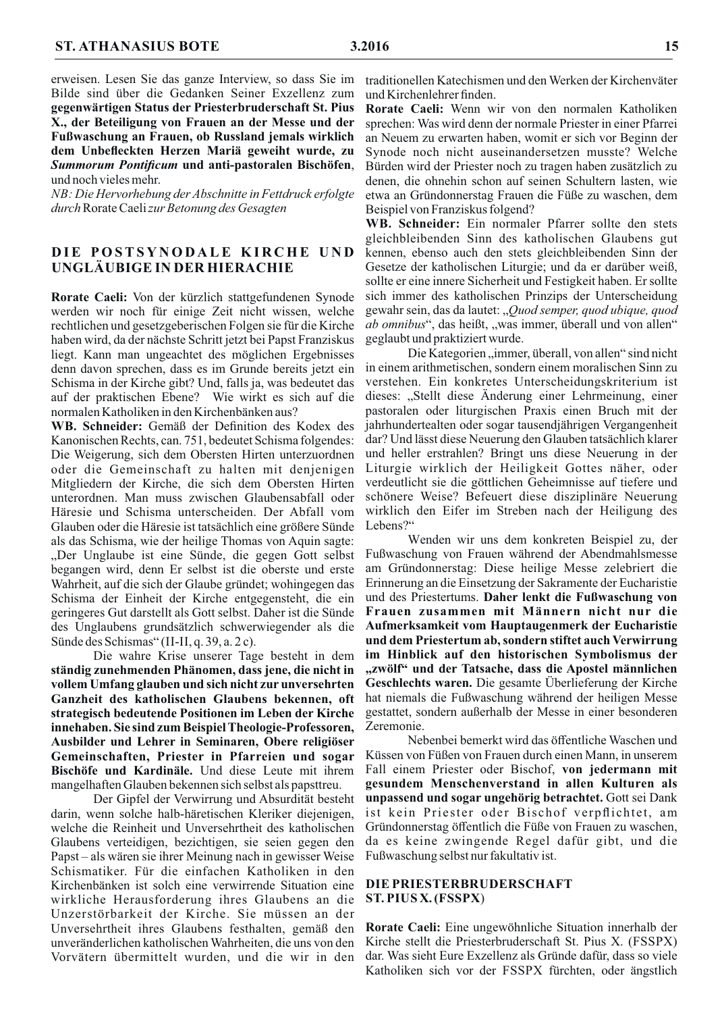erweisen. Lesen Sie das ganze Interview, so dass Sie im Bilde sind über die Gedanken Seiner Exzellenz zum gegenwärtigen Status der Priesterbruderschaft St. Pius X., der Beteiligung von Frauen an der Messe und der Fußwaschung an Frauen, ob Russland jemals wirklich dem Unbefleckten Herzen Mariä geweiht wurde, zu Summorum Pontificum und anti-pastoralen Bischöfen, und noch vieles mehr.

NB: Die Hervorhebung der Abschnitte in Fettdruck erfolgte durch Rorate Caeli zur Betonung des Gesagten

## DIE POSTSYNODALE KIRCHE UND UNGLÄUBIGE IN DER HIERACHIE

Rorate Caeli: Von der kürzlich stattgefundenen Synode werden wir noch für einige Zeit nicht wissen, welche rechtlichen und gesetzgeberischen Folgen sie für die Kirche haben wird, da der nächste Schritt jetzt bei Papst Franziskus liegt. Kann man ungeachtet des möglichen Ergebnisses denn davon sprechen, dass es im Grunde bereits jetzt ein Schisma in der Kirche gibt? Und, falls ja, was bedeutet das auf der praktischen Ebene? Wie wirkt es sich auf die normalen Katholiken in den Kirchenbänken aus?

WB. Schneider: Gemäß der Definition des Kodex des Kanonischen Rechts, can. 751, bedeutet Schisma folgendes: Die Weigerung, sich dem Obersten Hirten unterzuordnen oder die Gemeinschaft zu halten mit denjenigen Mitgliedern der Kirche, die sich dem Obersten Hirten unterordnen. Man muss zwischen Glaubensabfall oder Häresie und Schisma unterscheiden. Der Abfall vom Glauben oder die Häresie ist tatsächlich eine größere Sünde als das Schisma, wie der heilige Thomas von Aquin sagte: "Der Unglaube ist eine Sünde, die gegen Gott selbst begangen wird, denn Er selbst ist die oberste und erste Wahrheit, auf die sich der Glaube gründet; wohingegen das Schisma der Einheit der Kirche entgegensteht, die ein geringeres Gut darstellt als Gott selbst. Daher ist die Sünde des Unglaubens grundsätzlich schwerwiegender als die Sünde des Schismas" (II-II, q. 39, a. 2 c).

Die wahre Krise unserer Tage besteht in dem ständig zunehmenden Phänomen, dass jene, die nicht in vollem Umfang glauben und sich nicht zur unversehrten Ganzheit des katholischen Glaubens bekennen, oft strategisch bedeutende Positionen im Leben der Kirche innehaben. Sie sind zum Beispiel Theologie-Professoren, Ausbilder und Lehrer in Seminaren, Obere religiöser Gemeinschaften, Priester in Pfarreien und sogar Bischöfe und Kardinäle. Und diese Leute mit ihrem mangelhaften Glauben bekennen sich selbst als papsttreu.

Der Gipfel der Verwirrung und Absurdität besteht darin, wenn solche halb-häretischen Kleriker diejenigen, welche die Reinheit und Unversehrtheit des katholischen Glaubens verteidigen, bezichtigen, sie seien gegen den Papst – als wären sie ihrer Meinung nach in gewisser Weise Schismatiker. Für die einfachen Katholiken in den Kirchenbänken ist solch eine verwirrende Situation eine wirkliche Herausforderung ihres Glaubens an die Unzerstörbarkeit der Kirche. Sie müssen an der Unversehrtheit ihres Glaubens festhalten, gemäß den unveränderlichen katholischen Wahrheiten, die uns von den Vorvätern übermittelt wurden, und die wir in den

traditionellen Katechismen und den Werken der Kirchenväter und Kirchenlehrer finden.

Rorate Caeli: Wenn wir von den normalen Katholiken sprechen: Was wird denn der normale Priester in einer Pfarrei an Neuem zu erwarten haben, womit er sich vor Beginn der Synode noch nicht auseinandersetzen musste? Welche Bürden wird der Priester noch zu tragen haben zusätzlich zu denen, die ohnehin schon auf seinen Schultern lasten, wie etwa an Gründonnerstag Frauen die Füße zu waschen, dem Beispiel von Franziskus folgend?

WB. Schneider: Ein normaler Pfarrer sollte den stets gleichbleibenden Sinn des katholischen Glaubens gut kennen, ebenso auch den stets gleichbleibenden Sinn der Gesetze der katholischen Liturgie; und da er darüber weiß, sollte er eine innere Sicherheit und Festigkeit haben. Er sollte sich immer des katholischen Prinzips der Unterscheidung gewahr sein, das da lautet: "Quod semper, quod ubique, quod *ab omnibus*", das heißt, "was immer, überall und von allen" geglaubt und praktiziert wurde.

Die Kategorien, immer, überall, von allen" sind nicht in einem arithmetischen, sondern einem moralischen Sinn zu verstehen. Ein konkretes Unterscheidungskriterium ist dieses: "Stellt diese Änderung einer Lehrmeinung, einer pastoralen oder liturgischen Praxis einen Bruch mit der jahrhundertealten oder sogar tausendjährigen Vergangenheit dar? Und lässt diese Neuerung den Glauben tatsächlich klarer und heller erstrahlen? Bringt uns diese Neuerung in der Liturgie wirklich der Heiligkeit Gottes näher, oder verdeutlicht sie die göttlichen Geheimnisse auf tiefere und schönere Weise? Befeuert diese disziplinäre Neuerung wirklich den Eifer im Streben nach der Heiligung des Lebens?"

Wenden wir uns dem konkreten Beispiel zu, der Fußwaschung von Frauen während der Abendmahlsmesse am Gründonnerstag: Diese heilige Messe zelebriert die Erinnerung an die Einsetzung der Sakramente der Eucharistie und des Priestertums. Daher lenkt die Fußwaschung von Frauen zusammen mit Männern nicht nur die Aufmerksamkeit vom Hauptaugenmerk der Eucharistie und dem Priestertum ab, sondern stiftet auch Verwirrung im Hinblick auf den historischen Symbolismus der "zwölf" und der Tatsache, dass die Apostel männlichen Geschlechts waren. Die gesamte Überlieferung der Kirche hat niemals die Fußwaschung während der heiligen Messe gestattet, sondern außerhalb der Messe in einer besonderen Zeremonie.

Nebenbei bemerkt wird das öffentliche Waschen und Küssen von Füßen von Frauen durch einen Mann, in unserem Fall einem Priester oder Bischof, von jedermann mit gesundem Menschenverstand in allen Kulturen als unpassend und sogar ungehörig betrachtet. Gott sei Dank ist kein Priester oder Bischof verpflichtet, am Gründonnerstag öffentlich die Füße von Frauen zu waschen, da es keine zwingende Regel dafür gibt, und die Fußwaschung selbst nur fakultativ ist.

### DIE PRIESTERBRUDERSCHAFT ST. PIUS X. (FSSPX)

Rorate Caeli: Eine ungewöhnliche Situation innerhalb der Kirche stellt die Priesterbruderschaft St. Pius X. (FSSPX) dar. Was sieht Eure Exzellenz als Gründe dafür, dass so viele Katholiken sich vor der FSSPX fürchten, oder ängstlich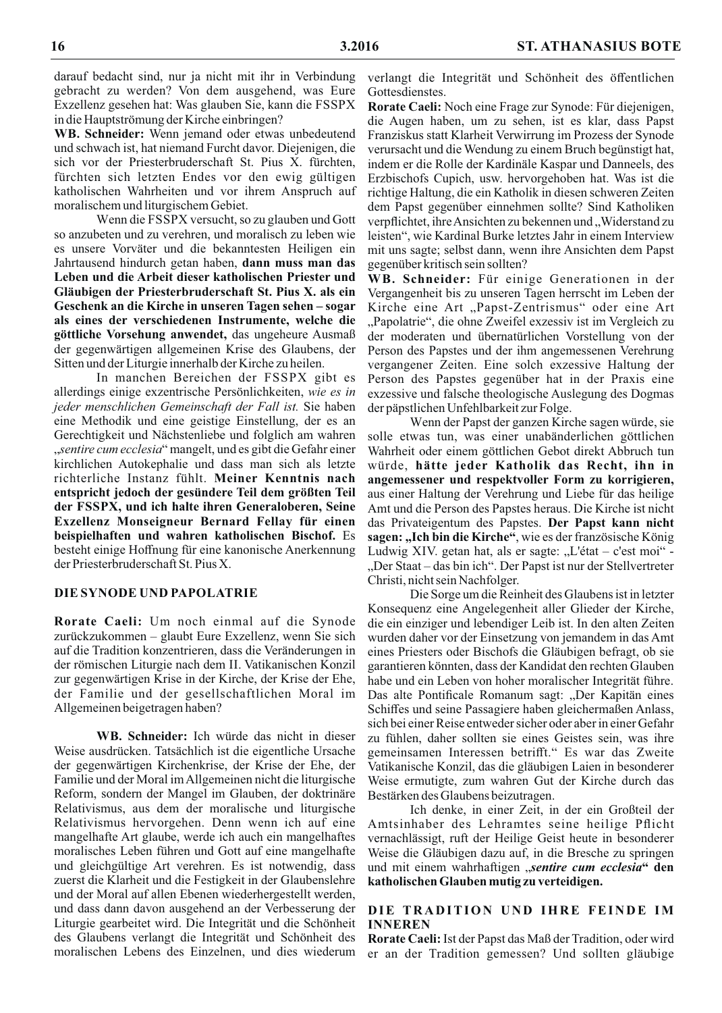darauf bedacht sind, nur ja nicht mit ihr in Verbindung gebracht zu werden? Von dem ausgehend, was Eure Exzellenz gesehen hat: Was glauben Sie, kann die FSSPX in die Hauptströmung der Kirche einbringen?

**WB. Schneider:** Wenn jemand oder etwas unbedeutend und schwach ist, hat niemand Furcht davor. Diejenigen, die sich vor der Priesterbruderschaft St. Pius X. fürchten, fürchten sich letzten Endes vor den ewig gültigen katholischen Wahrheiten und vor ihrem Anspruch auf moralischem und liturgischem Gebiet.

Wenn die FSSPX versucht, so zu glauben und Gott so anzubeten und zu verehren, und moralisch zu leben wie es unsere Vorväter und die bekanntesten Heiligen ein Jahrtausend hindurch getan haben, dann muss man das Leben und die Arbeit dieser katholischen Priester und Gläubigen der Priesterbruderschaft St. Pius X. als ein Geschenk an die Kirche in unseren Tagen sehen – sogar als eines der verschiedenen Instrumente, welche die göttliche Vorsehung anwendet, das ungeheure Ausmaß der gegenwärtigen allgemeinen Krise des Glaubens, der Sitten und der Liturgie innerhalb der Kirche zu heilen.

In manchen Bereichen der FSSPX gibt es allerdings einige exzentrische Persönlichkeiten, wie es in jeder menschlichen Gemeinschaft der Fall ist. Sie haben eine Methodik und eine geistige Einstellung, der es an Gerechtigkeit und Nächstenliebe und folglich am wahren "sentire cum ecclesia" mangelt, und es gibt die Gefahr einer kirchlichen Autokephalie und dass man sich als letzte richterliche Instanz fühlt. Meiner Kenntnis nach entspricht jedoch der gesündere Teil dem größten Teil der FSSPX, und ich halte ihren Generaloberen, Seine Exzellenz Monseigneur Bernard Fellay für einen beispielhaften und wahren katholischen Bischof. Es besteht einige Hoffnung für eine kanonische Anerkennung der Priesterbruderschaft St. Pius X.

## DIE SYNODE UND PAPOLATRIE

Rorate Caeli: Um noch einmal auf die Synode zurückzukommen - glaubt Eure Exzellenz, wenn Sie sich auf die Tradition konzentrieren, dass die Veränderungen in der römischen Liturgie nach dem II. Vatikanischen Konzil zur gegenwärtigen Krise in der Kirche, der Krise der Ehe, der Familie und der gesellschaftlichen Moral im Allgemeinen beigetragen haben?

WB. Schneider: Ich würde das nicht in dieser Weise ausdrücken. Tatsächlich ist die eigentliche Ursache der gegenwärtigen Kirchenkrise, der Krise der Ehe, der Familie und der Moral im Allgemeinen nicht die liturgische Reform, sondern der Mangel im Glauben, der doktrinäre Relativismus, aus dem der moralische und liturgische Relativismus hervorgehen. Denn wenn ich auf eine mangelhafte Art glaube, werde ich auch ein mangelhaftes moralisches Leben führen und Gott auf eine mangelhafte und gleichgültige Art verehren. Es ist notwendig, dass zuerst die Klarheit und die Festigkeit in der Glaubenslehre und der Moral auf allen Ebenen wiederhergestellt werden, und dass dann davon ausgehend an der Verbesserung der Liturgie gearbeitet wird. Die Integrität und die Schönheit des Glaubens verlangt die Integrität und Schönheit des moralischen Lebens des Einzelnen, und dies wiederum verlangt die Integrität und Schönheit des öffentlichen Gottesdienstes.

Rorate Caeli: Noch eine Frage zur Synode: Für diejenigen, die Augen haben, um zu sehen, ist es klar, dass Papst Franziskus statt Klarheit Verwirrung im Prozess der Synode verursacht und die Wendung zu einem Bruch begünstigt hat, indem er die Rolle der Kardinäle Kaspar und Danneels, des Erzbischofs Cupich, usw. hervorgehoben hat. Was ist die richtige Haltung, die ein Katholik in diesen schweren Zeiten dem Papst gegenüber einnehmen sollte? Sind Katholiken verpflichtet, ihre Ansichten zu bekennen und "Widerstand zu leisten", wie Kardinal Burke letztes Jahr in einem Interview mit uns sagte; selbst dann, wenn ihre Ansichten dem Papst gegenüber kritisch sein sollten?

WB. Schneider: Für einige Generationen in der Vergangenheit bis zu unseren Tagen herrscht im Leben der Kirche eine Art "Papst-Zentrismus" oder eine Art "Papolatrie", die ohne Zweifel exzessiv ist im Vergleich zu der moderaten und übernatürlichen Vorstellung von der Person des Papstes und der ihm angemessenen Verehrung vergangener Zeiten. Eine solch exzessive Haltung der Person des Papstes gegenüber hat in der Praxis eine exzessive und falsche theologische Auslegung des Dogmas der päpstlichen Unfehlbarkeit zur Folge.

Wenn der Papst der ganzen Kirche sagen würde, sie solle etwas tun, was einer unabänderlichen göttlichen Wahrheit oder einem göttlichen Gebot direkt Abbruch tun würde, hätte jeder Katholik das Recht, ihn in angemessener und respektvoller Form zu korrigieren, aus einer Haltung der Verehrung und Liebe für das heilige Amt und die Person des Papstes heraus. Die Kirche ist nicht das Privateigentum des Papstes. Der Papst kann nicht sagen: "Ich bin die Kirche", wie es der französische König Ludwig XIV. getan hat, als er sagte: "L'état – c'est moi" -"Der Staat – das bin ich". Der Papst ist nur der Stellvertreter Christi, nicht sein Nachfolger.

Die Sorge um die Reinheit des Glaubens ist in letzter Konsequenz eine Angelegenheit aller Glieder der Kirche, die ein einziger und lebendiger Leib ist. In den alten Zeiten wurden daher vor der Einsetzung von jemandem in das Amt eines Priesters oder Bischofs die Gläubigen befragt, ob sie garantieren könnten, dass der Kandidat den rechten Glauben habe und ein Leben von hoher moralischer Integrität führe. Das alte Pontificale Romanum sagt: "Der Kapitän eines Schiffes und seine Passagiere haben gleichermaßen Anlass, sich bei einer Reise entweder sicher oder aber in einer Gefahr zu fühlen, daher sollten sie eines Geistes sein, was ihre gemeinsamen Interessen betrifft." Es war das Zweite Vatikanische Konzil, das die gläubigen Laien in besonderer Weise ermutigte, zum wahren Gut der Kirche durch das Bestärken des Glaubens beizutragen.

Ich denke, in einer Zeit, in der ein Großteil der Amtsinhaber des Lehramtes seine heilige Pflicht vernachlässigt, ruft der Heilige Geist heute in besonderer Weise die Gläubigen dazu auf, in die Bresche zu springen und mit einem wahrhaftigen "sentire cum ecclesia" den katholischen Glauben mutig zu verteidigen.

## DIE TRADITION UND IHRE FEINDE IM **INNEREN**

Rorate Caeli: Ist der Papst das Maß der Tradition, oder wird er an der Tradition gemessen? Und sollten gläubige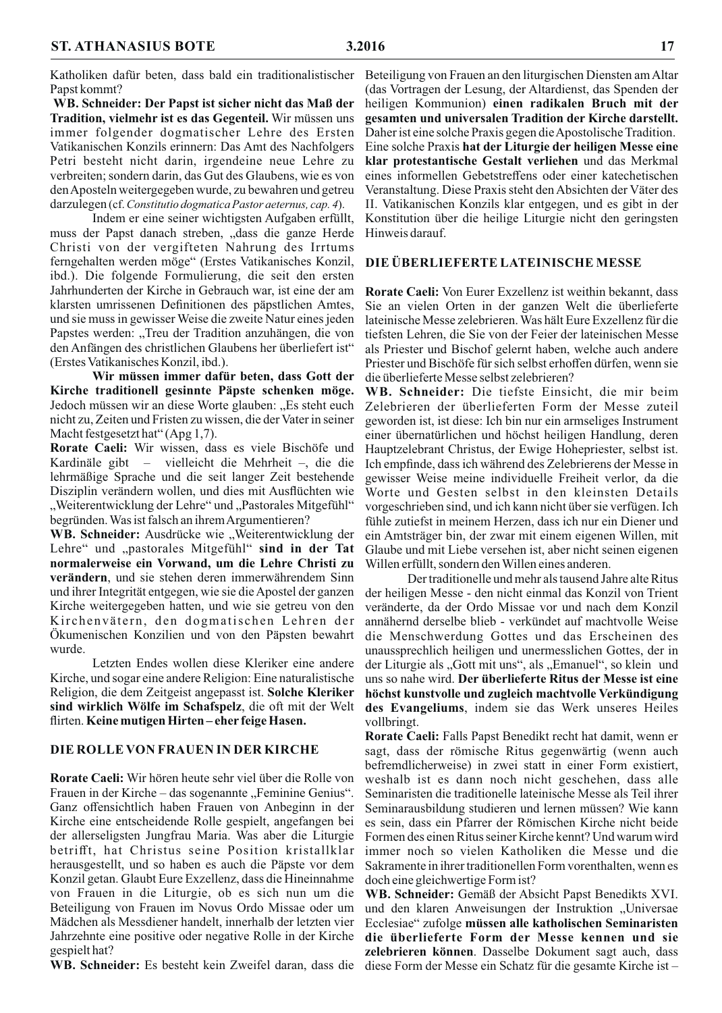Katholiken dafür beten, dass bald ein traditionalistischer Beteiligung von Frauen an den liturgischen Diensten am Altar Papst kommt?

WB. Schneider: Der Papst ist sicher nicht das Maß der Tradition, vielmehr ist es das Gegenteil. Wir müssen uns immer folgender dogmatischer Lehre des Ersten Vatikanischen Konzils erinnern: Das Amt des Nachfolgers Petri besteht nicht darin, irgendeine neue Lehre zu verbreiten; sondern darin, das Gut des Glaubens, wie es von den Aposteln weitergegeben wurde, zu bewahren und getreu darzulegen (cf. Constitutio dogmatica Pastor aeternus, cap. 4).

Indem er eine seiner wichtigsten Aufgaben erfüllt, muss der Papst danach streben, "dass die ganze Herde Christi von der vergifteten Nahrung des Irrtums ferngehalten werden möge" (Erstes Vatikanisches Konzil, ibd.). Die folgende Formulierung, die seit den ersten Jahrhunderten der Kirche in Gebrauch war, ist eine der am klarsten umrissenen Definitionen des päpstlichen Amtes, und sie muss in gewisser Weise die zweite Natur eines jeden Papstes werden: "Treu der Tradition anzuhängen, die von den Anfängen des christlichen Glaubens her überliefert ist" (Erstes Vatikanisches Konzil, ibd.).

Wir müssen immer dafür beten, dass Gott der Kirche traditionell gesinnte Päpste schenken möge. Jedoch müssen wir an diese Worte glauben: "Es steht euch nicht zu, Zeiten und Fristen zu wissen, die der Vater in seiner Macht festgesetzt hat" (Apg 1,7).

Rorate Caeli: Wir wissen, dass es viele Bischöfe und Kardinäle gibt – vielleicht die Mehrheit –, die die lehrmäßige Sprache und die seit langer Zeit bestehende Disziplin verändern wollen, und dies mit Ausflüchten wie "Weiterentwicklung der Lehre" und "Pastorales Mitgefühl" begründen. Was ist falsch an ihrem Argumentieren?

WB. Schneider: Ausdrücke wie "Weiterentwicklung der Lehre" und "pastorales Mitgefühl" sind in der Tat normalerweise ein Vorwand, um die Lehre Christi zu verändern, und sie stehen deren immerwährendem Sinn und ihrer Integrität entgegen, wie sie die Apostel der ganzen Kirche weitergegeben hatten, und wie sie getreu von den Kirchenvätern, den dogmatischen Lehren der Okumenischen Konzilien und von den Päpsten bewahrt wurde

Letzten Endes wollen diese Kleriker eine andere Kirche, und sogar eine andere Religion: Eine naturalistische Religion, die dem Zeitgeist angepasst ist. Solche Kleriker sind wirklich Wölfe im Schafspelz, die oft mit der Welt flirten. Keine mutigen Hirten-eher feige Hasen.

## DIE ROLLE VON FRAUEN IN DER KIRCHE

Rorate Caeli: Wir hören heute sehr viel über die Rolle von Frauen in der Kirche – das sogenannte "Feminine Genius". Ganz offensichtlich haben Frauen von Anbeginn in der Kirche eine entscheidende Rolle gespielt, angefangen bei der allerseligsten Jungfrau Maria. Was aber die Liturgie betrifft, hat Christus seine Position kristallklar herausgestellt, und so haben es auch die Päpste vor dem Konzil getan. Glaubt Eure Exzellenz, dass die Hineinnahme von Frauen in die Liturgie, ob es sich nun um die Beteiligung von Frauen im Novus Ordo Missae oder um Mädchen als Messdiener handelt, innerhalb der letzten vier Jahrzehnte eine positive oder negative Rolle in der Kirche gespielt hat?

(das Vortragen der Lesung, der Altardienst, das Spenden der heiligen Kommunion) einen radikalen Bruch mit der gesamten und universalen Tradition der Kirche darstellt. Daher ist eine solche Praxis gegen die Apostolische Tradition. Eine solche Praxis hat der Liturgie der heiligen Messe eine klar protestantische Gestalt verliehen und das Merkmal eines informellen Gebetstreffens oder einer katechetischen Veranstaltung. Diese Praxis steht den Absichten der Väter des II. Vatikanischen Konzils klar entgegen, und es gibt in der Konstitution über die heilige Liturgie nicht den geringsten Hinweis darauf.

#### DIE ÜBERLIEFERTE LATEINISCHE MESSE

Rorate Caeli: Von Eurer Exzellenz ist weithin bekannt, dass Sie an vielen Orten in der ganzen Welt die überlieferte lateinische Messe zelebrieren. Was hält Eure Exzellenz für die tiefsten Lehren, die Sie von der Feier der lateinischen Messe als Priester und Bischof gelernt haben, welche auch andere Priester und Bischöfe für sich selbst erhoffen dürfen, wenn sie die überlieferte Messe selbst zelebrieren?

WB. Schneider: Die tiefste Einsicht, die mir beim Zelebrieren der überlieferten Form der Messe zuteil geworden ist, ist diese: Ich bin nur ein armseliges Instrument einer übernatürlichen und höchst heiligen Handlung, deren Hauptzelebrant Christus, der Ewige Hohepriester, selbst ist. Ich empfinde, dass ich während des Zelebrierens der Messe in gewisser Weise meine individuelle Freiheit verlor, da die Worte und Gesten selbst in den kleinsten Details vorgeschrieben sind, und ich kann nicht über sie verfügen. Ich fühle zutiefst in meinem Herzen, dass ich nur ein Diener und ein Amtsträger bin, der zwar mit einem eigenen Willen, mit Glaube und mit Liebe versehen ist, aber nicht seinen eigenen Willen erfüllt, sondern den Willen eines anderen.

Der traditionelle und mehr als tausend Jahre alte Ritus der heiligen Messe - den nicht einmal das Konzil von Trient veränderte, da der Ordo Missae vor und nach dem Konzil annähernd derselbe blieb - verkündet auf machtvolle Weise die Menschwerdung Gottes und das Erscheinen des unaussprechlich heiligen und unermesslichen Gottes, der in der Liturgie als "Gott mit uns", als "Emanuel", so klein und uns so nahe wird. Der überlieferte Ritus der Messe ist eine höchst kunstvolle und zugleich machtvolle Verkündigung des Evangeliums, indem sie das Werk unseres Heiles vollbringt.

Rorate Caeli: Falls Papst Benedikt recht hat damit, wenn er sagt, dass der römische Ritus gegenwärtig (wenn auch befremdlicherweise) in zwei statt in einer Form existiert, weshalb ist es dann noch nicht geschehen, dass alle Seminaristen die traditionelle lateinische Messe als Teil ihrer Seminarausbildung studieren und lernen müssen? Wie kann es sein, dass ein Pfarrer der Römischen Kirche nicht beide Formen des einen Ritus seiner Kirche kennt? Und warum wird immer noch so vielen Katholiken die Messe und die Sakramente in ihrer traditionellen Form vorenthalten, wenn es doch eine gleichwertige Form ist?

WB. Schneider: Gemäß der Absicht Papst Benedikts XVI. und den klaren Anweisungen der Instruktion "Universae Ecclesiae" zufolge müssen alle katholischen Seminaristen die überlieferte Form der Messe kennen und sie zelebrieren können. Dasselbe Dokument sagt auch, dass WB. Schneider: Es besteht kein Zweifel daran, dass die diese Form der Messe ein Schatz für die gesamte Kirche ist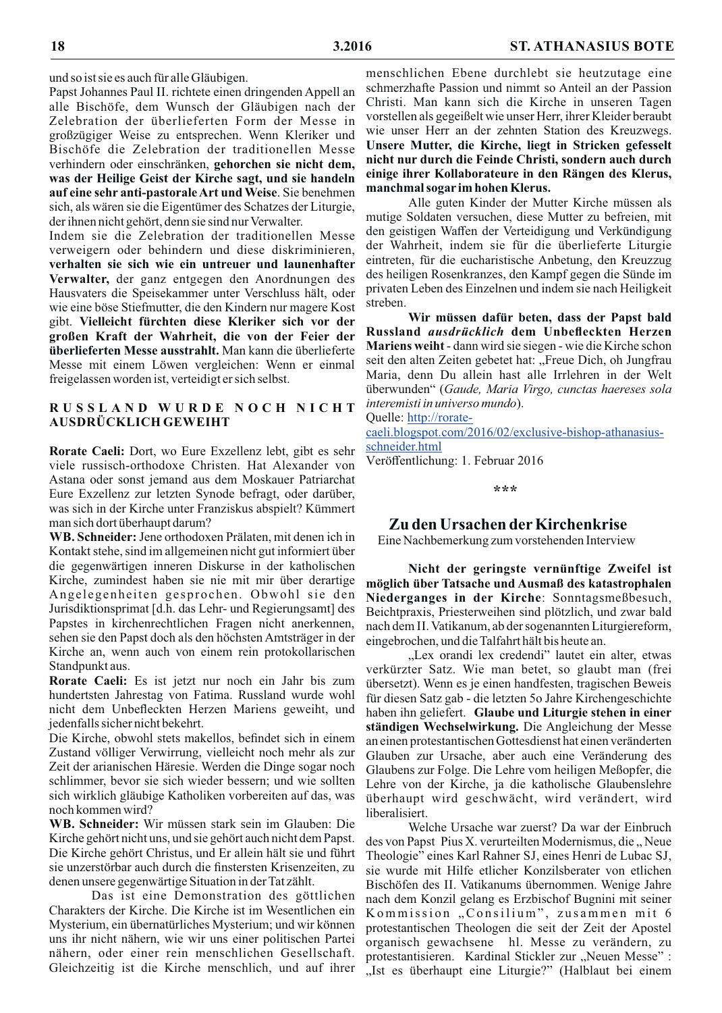und so ist sie es auch für alle Gläubigen.

Papst Johannes Paul II. richtete einen dringenden Appell an alle Bischöfe, dem Wunsch der Gläubigen nach der Zelebration der überlieferten Form der Messe in großzügiger Weise zu entsprechen. Wenn Kleriker und Bischöfe die Zelebration der traditionellen Messe verhindern oder einschränken, gehorchen sie nicht dem, was der Heilige Geist der Kirche sagt, und sie handeln auf eine sehr anti-pastorale Art und Weise. Sie benehmen sich, als wären sie die Eigentümer des Schatzes der Liturgie, der ihnen nicht gehört, denn sie sind nur Verwalter.

Indem sie die Zelebration der traditionellen Messe verweigern oder behindern und diese diskriminieren, verhalten sie sich wie ein untreuer und launenhafter Verwalter, der ganz entgegen den Anordnungen des Hausvaters die Speisekammer unter Verschluss hält, oder wie eine böse Stiefmutter, die den Kindern nur magere Kost gibt. Vielleicht fürchten diese Kleriker sich vor der großen Kraft der Wahrheit, die von der Feier der überlieferten Messe ausstrahlt. Man kann die überlieferte Messe mit einem Löwen vergleichen: Wenn er einmal freigelassen worden ist, verteidigt er sich selbst.

## RUSSLAND WURDE NOCH NICHT AUSDRÜCKLICH GEWEIHT

Rorate Caeli: Dort, wo Eure Exzellenz lebt, gibt es sehr viele russisch-orthodoxe Christen. Hat Alexander von Astana oder sonst jemand aus dem Moskauer Patriarchat Eure Exzellenz zur letzten Synode befragt, oder darüber, was sich in der Kirche unter Franziskus abspielt? Kümmert man sich dort überhaupt darum?

WB. Schneider: Jene orthodoxen Prälaten, mit denen ich in Kontakt stehe, sind im allgemeinen nicht gut informiert über die gegenwärtigen inneren Diskurse in der katholischen Kirche, zumindest haben sie nie mit mir über derartige Angelegenheiten gesprochen. Obwohl sie den Jurisdiktionsprimat [d.h. das Lehr- und Regierungsamt] des Papstes in kirchenrechtlichen Fragen nicht anerkennen, sehen sie den Papst doch als den höchsten Amtsträger in der Kirche an, wenn auch von einem rein protokollarischen Standpunkt aus.

Rorate Caeli: Es ist jetzt nur noch ein Jahr bis zum hundertsten Jahrestag von Fatima. Russland wurde wohl nicht dem Unbefleckten Herzen Mariens geweiht, und jedenfalls sicher nicht bekehrt.

Die Kirche, obwohl stets makellos, befindet sich in einem Zustand völliger Verwirrung, vielleicht noch mehr als zur Zeit der arianischen Häresie. Werden die Dinge sogar noch schlimmer, bevor sie sich wieder bessern; und wie sollten sich wirklich gläubige Katholiken vorbereiten auf das, was noch kommen wird?

WB. Schneider: Wir müssen stark sein im Glauben: Die Kirche gehört nicht uns, und sie gehört auch nicht dem Papst. Die Kirche gehört Christus, und Er allein hält sie und führt sie unzerstörbar auch durch die finstersten Krisenzeiten, zu denen unsere gegenwärtige Situation in der Tat zählt.

Das ist eine Demonstration des göttlichen Charakters der Kirche. Die Kirche ist im Wesentlichen ein Mysterium, ein übernatürliches Mysterium; und wir können uns ihr nicht nähern, wie wir uns einer politischen Partei nähern, oder einer rein menschlichen Gesellschaft. Gleichzeitig ist die Kirche menschlich, und auf ihrer

menschlichen Ebene durchlebt sie heutzutage eine schmerzhafte Passion und nimmt so Anteil an der Passion Christi. Man kann sich die Kirche in unseren Tagen vorstellen als gegeißelt wie unser Herr, ihrer Kleider beraubt wie unser Herr an der zehnten Station des Kreuzwegs. Unsere Mutter, die Kirche, liegt in Stricken gefesselt nicht nur durch die Feinde Christi, sondern auch durch einige ihrer Kollaborateure in den Rängen des Klerus, manchmal sogar im hohen Klerus.

Alle guten Kinder der Mutter Kirche müssen als mutige Soldaten versuchen, diese Mutter zu befreien, mit den geistigen Waffen der Verteidigung und Verkündigung der Wahrheit, indem sie für die überlieferte Liturgie eintreten, für die eucharistische Anbetung, den Kreuzzug des heiligen Rosenkranzes, den Kampf gegen die Sünde im privaten Leben des Einzelnen und indem sie nach Heiligkeit streben.

Wir müssen dafür beten, dass der Papst bald Russland *ausdrücklich* dem Unbefleckten Herzen **Mariens weiht** - dann wird sie siegen - wie die Kirche schon seit den alten Zeiten gebetet hat: "Freue Dich, oh Jungfrau Maria, denn Du allein hast alle Irrlehren in der Welt überwunden" (Gaude, Maria Virgo, cunctas haereses sola *interemisti in universo mundo*).

Quelle: http://rorate-

caeli.blogspot.com/2016/02/exclusive-bishop-athanasiusschneider.html

Veröffentlichung: 1. Februar 2016

\*\*\*

## Zu den Ursachen der Kirchenkrise

Eine Nachbemerkung zum vorstehenden Interview

Nicht der geringste vernünftige Zweifel ist möglich über Tatsache und Ausmaß des katastrophalen Niederganges in der Kirche: Sonntagsmeßbesuch, Beichtpraxis, Priesterweihen sind plötzlich, und zwar bald nach dem II. Vatikanum, ab der sogenannten Liturgiereform, eingebrochen, und die Talfahrt hält bis heute an.

"Lex orandi lex credendi" lautet ein alter, etwas verkürzter Satz. Wie man betet, so glaubt man (frei übersetzt). Wenn es je einen handfesten, tragischen Beweis für diesen Satz gab - die letzten 50 Jahre Kirchengeschichte haben ihn geliefert. Glaube und Liturgie stehen in einer ständigen Wechselwirkung. Die Angleichung der Messe an einen protestantischen Gottesdienst hat einen veränderten Glauben zur Ursache, aber auch eine Veränderung des Glaubens zur Folge. Die Lehre vom heiligen Meßopfer, die Lehre von der Kirche, ja die katholische Glaubenslehre überhaupt wird geschwächt, wird verändert, wird liberalisiert.

Welche Ursache war zuerst? Da war der Einbruch des von Papst Pius X. verurteilten Modernismus, die "Neue Theologie" eines Karl Rahner SJ, eines Henri de Lubac SJ, sie wurde mit Hilfe etlicher Konzilsberater von etlichen Bischöfen des II. Vatikanums übernommen. Wenige Jahre nach dem Konzil gelang es Erzbischof Bugnini mit seiner Kommission "Consilium", zusammen mit 6 protestantischen Theologen die seit der Zeit der Apostel organisch gewachsene hl. Messe zu verändern, zu protestantisieren. Kardinal Stickler zur "Neuen Messe": "Ist es überhaupt eine Liturgie?" (Halblaut bei einem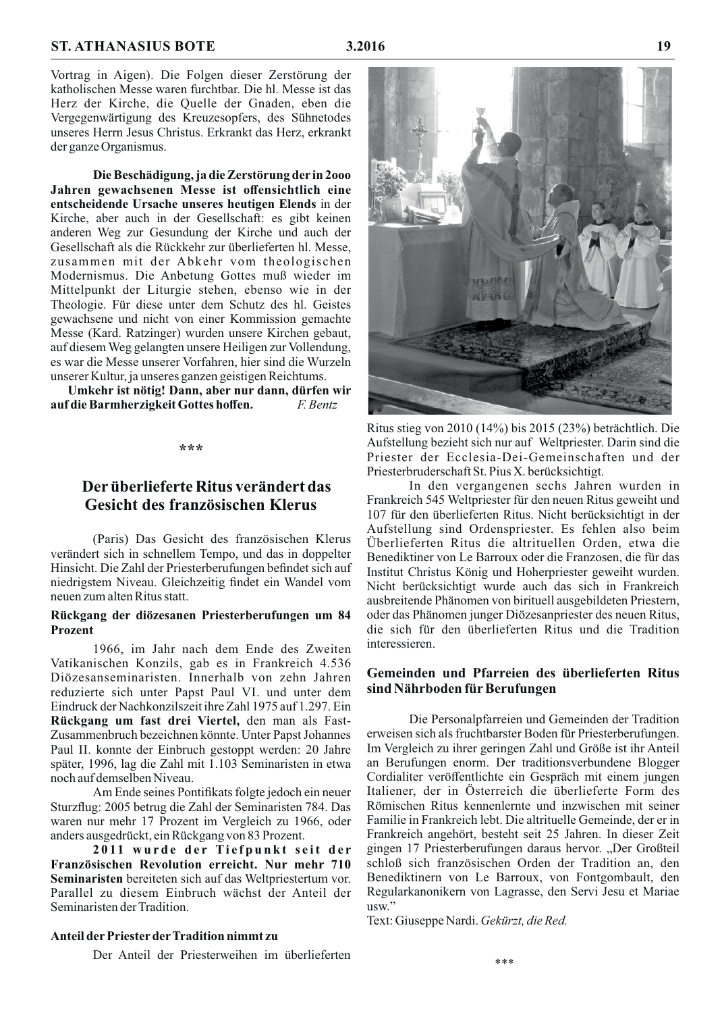Vortrag in Aigen). Die Folgen dieser Zerstörung der katholischen Messe waren furchtbar. Die hl. Messe ist das Herz der Kirche, die Quelle der Gnaden, eben die Vergegenwärtigung des Kreuzesopfers, des Sühnetodes unseres Herrn Jesus Christus. Erkrankt das Herz, erkrankt der ganze Organismus.

Die Beschädigung, ja die Zerstörung der in 2000 Jahren gewachsenen Messe ist offensichtlich eine entscheidende Ursache unseres heutigen Elends in der Kirche, aber auch in der Gesellschaft: es gibt keinen anderen Weg zur Gesundung der Kirche und auch der Gesellschaft als die Rückkehr zur überlieferten hl. Messe, zusammen mit der Abkehr vom theologischen Modernismus. Die Anbetung Gottes muß wieder im Mittelpunkt der Liturgie stehen, ebenso wie in der Theologie. Für diese unter dem Schutz des hl. Geistes gewachsene und nicht von einer Kommission gemachte Messe (Kard. Ratzinger) wurden unsere Kirchen gebaut, auf diesem Weg gelangten unsere Heiligen zur Vollendung. es war die Messe unserer Vorfahren, hier sind die Wurzeln unserer Kultur, ja unseres ganzen geistigen Reichtums.

Umkehr ist nötig! Dann, aber nur dann, dürfen wir auf die Barmherzigkeit Gottes hoffen. F. Bentz

#### \*\*\*

## Der überlieferte Ritus verändert das Gesicht des französischen Klerus

(Paris) Das Gesicht des französischen Klerus verändert sich in schnellem Tempo, und das in doppelter Hinsicht. Die Zahl der Priesterberufungen befindet sich auf niedrigstem Niveau. Gleichzeitig findet ein Wandel vom neuen zum alten Ritus statt.

## Rückgang der diözesanen Priesterberufungen um 84 **Prozent**

1966, im Jahr nach dem Ende des Zweiten Vatikanischen Konzils, gab es in Frankreich 4.536 Diözesanseminaristen. Innerhalb von zehn Jahren reduzierte sich unter Papst Paul VI. und unter dem Eindruck der Nachkonzilszeit ihre Zahl 1975 auf 1.297. Ein Rückgang um fast drei Viertel, den man als Fast-Zusammenbruch bezeichnen könnte. Unter Papst Johannes Paul II. konnte der Einbruch gestoppt werden: 20 Jahre später, 1996, lag die Zahl mit 1.103 Seminaristen in etwa noch auf demselben Niveau.

Am Ende seines Pontifikats folgte jedoch ein neuer Sturzflug: 2005 betrug die Zahl der Seminaristen 784. Das waren nur mehr 17 Prozent im Vergleich zu 1966, oder anders ausgedrückt, ein Rückgang von 83 Prozent.

2011 wurde der Tiefpunkt seit der Französischen Revolution erreicht. Nur mehr 710 Seminaristen bereiteten sich auf das Weltpriestertum vor. Parallel zu diesem Einbruch wächst der Anteil der Seminaristen der Tradition.

#### Anteil der Priester der Tradition nimmt zu

Der Anteil der Priesterweihen im überlieferten



Ritus stieg von  $2010(14\%)$  bis  $2015(23\%)$  beträchtlich. Die Aufstellung bezieht sich nur auf Weltpriester. Darin sind die Priester der Ecclesia-Dei-Gemeinschaften und der Priesterbruderschaft St. Pius X. berücksichtigt.

In den vergangenen sechs Jahren wurden in Frankreich 545 Weltpriester für den neuen Ritus geweiht und 107 für den überlieferten Ritus. Nicht berücksichtigt in der Aufstellung sind Ordenspriester. Es fehlen also beim Überlieferten Ritus die altrituellen Orden, etwa die Benediktiner von Le Barroux oder die Franzosen, die für das Institut Christus König und Hoherpriester geweiht wurden. Nicht berücksichtigt wurde auch das sich in Frankreich ausbreitende Phänomen von birituell ausgebildeten Priestern, oder das Phänomen junger Diözesanpriester des neuen Ritus, die sich für den überlieferten Ritus und die Tradition interessieren.

## Gemeinden und Pfarreien des überlieferten Ritus sind Nährboden für Berufungen

Die Personalpfarreien und Gemeinden der Tradition erweisen sich als fruchtbarster Boden für Priesterberufungen. Im Vergleich zu ihrer geringen Zahl und Größe ist ihr Anteil an Berufungen enorm. Der traditionsverbundene Blogger Cordialiter veröffentlichte ein Gespräch mit einem jungen Italiener, der in Österreich die überlieferte Form des Römischen Ritus kennenlernte und inzwischen mit seiner Familie in Frankreich lebt. Die altrituelle Gemeinde, der er in Frankreich angehört, besteht seit 25 Jahren. In dieser Zeit gingen 17 Priesterberufungen daraus hervor. "Der Großteil schloß sich französischen Orden der Tradition an, den Benediktinern von Le Barroux, von Fontgombault, den Regularkanonikern von Lagrasse, den Servi Jesu et Mariae usw."

Text: Giuseppe Nardi. Gekürzt, die Red.